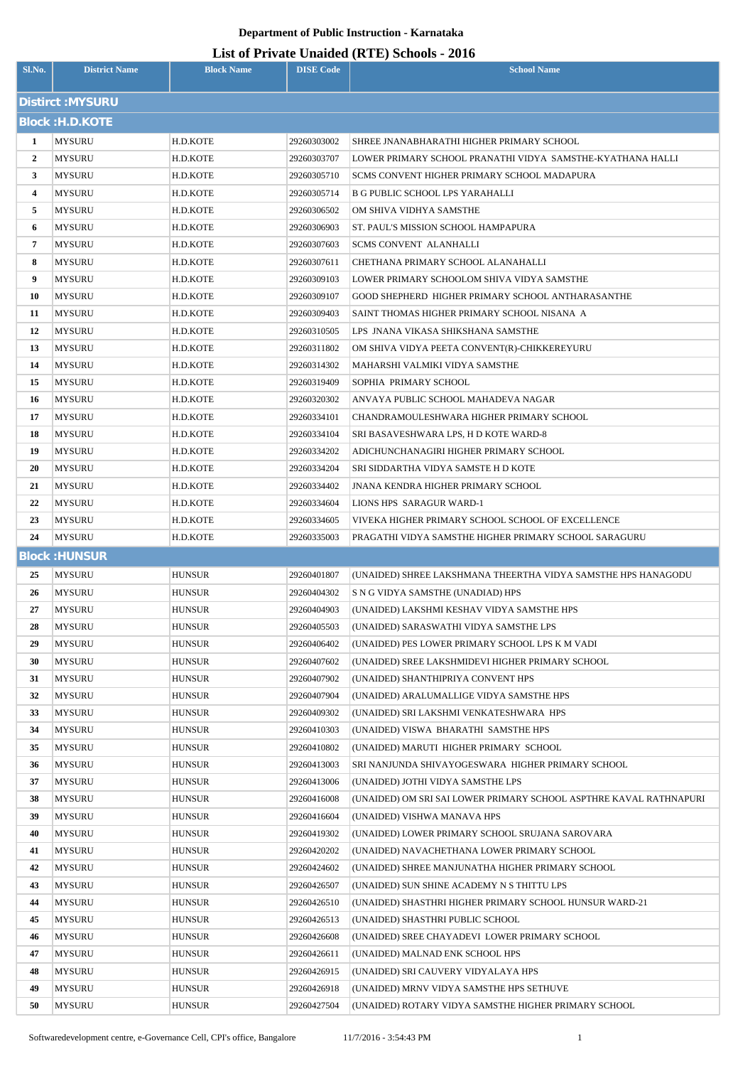| Sl.No.         | <b>District Name</b>           | <b>Block Name</b> | <b>DISE Code</b>           | $\frac{1}{2}$<br><b>School Name</b>                                            |
|----------------|--------------------------------|-------------------|----------------------------|--------------------------------------------------------------------------------|
|                | Distirct : MYSURU              |                   |                            |                                                                                |
|                | <b>Block: H.D.KOTE</b>         |                   |                            |                                                                                |
| 1              | <b>MYSURU</b>                  | H.D.KOTE          | 29260303002                | SHREE JNANABHARATHI HIGHER PRIMARY SCHOOL                                      |
| $\overline{2}$ | <b>MYSURU</b>                  | H.D.KOTE          | 29260303707                | LOWER PRIMARY SCHOOL PRANATHI VIDYA SAMSTHE-KYATHANA HALLI                     |
| $\mathbf{3}$   | <b>MYSURU</b>                  | H.D.KOTE          | 29260305710                | SCMS CONVENT HIGHER PRIMARY SCHOOL MADAPURA                                    |
| 4              | <b>MYSURU</b>                  | H.D.KOTE          | 29260305714                | <b>B G PUBLIC SCHOOL LPS YARAHALLI</b>                                         |
| 5              | <b>MYSURU</b>                  | H.D.KOTE          | 29260306502                | OM SHIVA VIDHYA SAMSTHE                                                        |
| 6              | <b>MYSURU</b>                  | H.D.KOTE          | 29260306903                | ST. PAUL'S MISSION SCHOOL HAMPAPURA                                            |
| 7              | <b>MYSURU</b>                  | H.D.KOTE          | 29260307603                | <b>SCMS CONVENT ALANHALLI</b>                                                  |
| 8              | <b>MYSURU</b>                  | H.D.KOTE          | 29260307611                | CHETHANA PRIMARY SCHOOL ALANAHALLI                                             |
| 9              | <b>MYSURU</b>                  | H.D.KOTE          | 29260309103                | LOWER PRIMARY SCHOOLOM SHIVA VIDYA SAMSTHE                                     |
| 10             | <b>MYSURU</b>                  | H.D.KOTE          | 29260309107                | <b>GOOD SHEPHERD HIGHER PRIMARY SCHOOL ANTHARASANTHE</b>                       |
| 11             | <b>MYSURU</b>                  | H.D.KOTE          | 29260309403                | SAINT THOMAS HIGHER PRIMARY SCHOOL NISANA A                                    |
| 12             | <b>MYSURU</b>                  | H.D.KOTE          | 29260310505                | LPS JNANA VIKASA SHIKSHANA SAMSTHE                                             |
| 13             | <b>MYSURU</b>                  | H.D.KOTE          | 29260311802                | OM SHIVA VIDYA PEETA CONVENT(R)-CHIKKEREYURU                                   |
| 14             | <b>MYSURU</b>                  | H.D.KOTE          | 29260314302                | MAHARSHI VALMIKI VIDYA SAMSTHE                                                 |
| 15             | <b>MYSURU</b>                  | H.D.KOTE          | 29260319409                | SOPHIA PRIMARY SCHOOL                                                          |
| 16             | <b>MYSURU</b>                  | H.D.KOTE          | 29260320302                | ANVAYA PUBLIC SCHOOL MAHADEVA NAGAR                                            |
| 17             | <b>MYSURU</b>                  | H.D.KOTE          | 29260334101                | CHANDRAMOULESHWARA HIGHER PRIMARY SCHOOL                                       |
| 18             | <b>MYSURU</b>                  | H.D.KOTE          | 29260334104                | SRI BASAVESHWARA LPS, H D KOTE WARD-8                                          |
| 19             | <b>MYSURU</b>                  | H.D.KOTE          | 29260334202                | ADICHUNCHANAGIRI HIGHER PRIMARY SCHOOL                                         |
| 20             | <b>MYSURU</b>                  | H.D.KOTE          | 29260334204                | SRI SIDDARTHA VIDYA SAMSTE H D KOTE                                            |
| 21             | <b>MYSURU</b>                  | H.D.KOTE          | 29260334402                | <b>JNANA KENDRA HIGHER PRIMARY SCHOOL</b>                                      |
| 22             | <b>MYSURU</b>                  | H.D.KOTE          | 29260334604                | LIONS HPS SARAGUR WARD-1                                                       |
| 23             | <b>MYSURU</b>                  | H.D.KOTE          | 29260334605                | VIVEKA HIGHER PRIMARY SCHOOL SCHOOL OF EXCELLENCE                              |
| 24             | <b>MYSURU</b>                  | H.D.KOTE          | 29260335003                | PRAGATHI VIDYA SAMSTHE HIGHER PRIMARY SCHOOL SARAGURU                          |
|                | <b>Block: HUNSUR</b>           |                   |                            |                                                                                |
| 25             | <b>MYSURU</b>                  | <b>HUNSUR</b>     | 29260401807                | (UNAIDED) SHREE LAKSHMANA THEERTHA VIDYA SAMSTHE HPS HANAGODU                  |
| 26             | <b>MYSURU</b>                  | HUNSUR            | 29260404302                | S N G VIDYA SAMSTHE (UNADIAD) HPS                                              |
| 27             | <b>MYSURU</b>                  | HUNSUR            | 29260404903                | (UNAIDED) LAKSHMI KESHAV VIDYA SAMSTHE HPS                                     |
| 28             | <b>MYSURU</b>                  | <b>HUNSUR</b>     | 29260405503                | (UNAIDED) SARASWATHI VIDYA SAMSTHE LPS                                         |
| 29             | <b>MYSURU</b>                  | HUNSUR            | 29260406402                | (UNAIDED) PES LOWER PRIMARY SCHOOL LPS K M VADI                                |
| 30             | <b>MYSURU</b>                  | <b>HUNSUR</b>     | 29260407602                | (UNAIDED) SREE LAKSHMIDEVI HIGHER PRIMARY SCHOOL                               |
| 31             | <b>MYSURU</b>                  | HUNSUR            | 29260407902                | (UNAIDED) SHANTHIPRIYA CONVENT HPS<br>(UNAIDED) ARALUMALLIGE VIDYA SAMSTHE HPS |
| 32<br>33       | <b>MYSURU</b>                  | HUNSUR<br>HUNSUR  | 29260407904<br>29260409302 | (UNAIDED) SRI LAKSHMI VENKATESHWARA HPS                                        |
| 34             | <b>MYSURU</b><br><b>MYSURU</b> | HUNSUR            | 29260410303                | (UNAIDED) VISWA BHARATHI SAMSTHE HPS                                           |
| 35             | <b>MYSURU</b>                  | HUNSUR            | 29260410802                | (UNAIDED) MARUTI HIGHER PRIMARY SCHOOL                                         |
| 36             | <b>MYSURU</b>                  | <b>HUNSUR</b>     | 29260413003                | SRI NANJUNDA SHIVAYOGESWARA HIGHER PRIMARY SCHOOL                              |
| 37             | <b>MYSURU</b>                  | HUNSUR            | 29260413006                | (UNAIDED) JOTHI VIDYA SAMSTHE LPS                                              |
| 38             | <b>MYSURU</b>                  | HUNSUR            | 29260416008                | (UNAIDED) OM SRI SAI LOWER PRIMARY SCHOOL ASPTHRE KAVAL RATHNAPURI             |
| 39             | <b>MYSURU</b>                  | HUNSUR            | 29260416604                | (UNAIDED) VISHWA MANAVA HPS                                                    |
| 40             | <b>MYSURU</b>                  | HUNSUR            | 29260419302                | (UNAIDED) LOWER PRIMARY SCHOOL SRUJANA SAROVARA                                |
| 41             | <b>MYSURU</b>                  | HUNSUR            | 29260420202                | (UNAIDED) NAVACHETHANA LOWER PRIMARY SCHOOL                                    |
| 42             | <b>MYSURU</b>                  | HUNSUR            | 29260424602                | (UNAIDED) SHREE MANJUNATHA HIGHER PRIMARY SCHOOL                               |
| 43             | <b>MYSURU</b>                  | HUNSUR            | 29260426507                | (UNAIDED) SUN SHINE ACADEMY N S THITTU LPS                                     |
| 44             | <b>MYSURU</b>                  | HUNSUR            | 29260426510                | (UNAIDED) SHASTHRI HIGHER PRIMARY SCHOOL HUNSUR WARD-21                        |
| 45             | <b>MYSURU</b>                  | HUNSUR            | 29260426513                | (UNAIDED) SHASTHRI PUBLIC SCHOOL                                               |
| 46             | <b>MYSURU</b>                  | HUNSUR            | 29260426608                | (UNAIDED) SREE CHAYADEVI LOWER PRIMARY SCHOOL                                  |
| 47             | <b>MYSURU</b>                  | HUNSUR            | 29260426611                | (UNAIDED) MALNAD ENK SCHOOL HPS                                                |
| 48             | <b>MYSURU</b>                  | HUNSUR            | 29260426915                | (UNAIDED) SRI CAUVERY VIDYALAYA HPS                                            |
| 49             | <b>MYSURU</b>                  | HUNSUR            | 29260426918                | (UNAIDED) MRNV VIDYA SAMSTHE HPS SETHUVE                                       |
| 50             | <b>MYSURU</b>                  | <b>HUNSUR</b>     | 29260427504                | (UNAIDED) ROTARY VIDYA SAMSTHE HIGHER PRIMARY SCHOOL                           |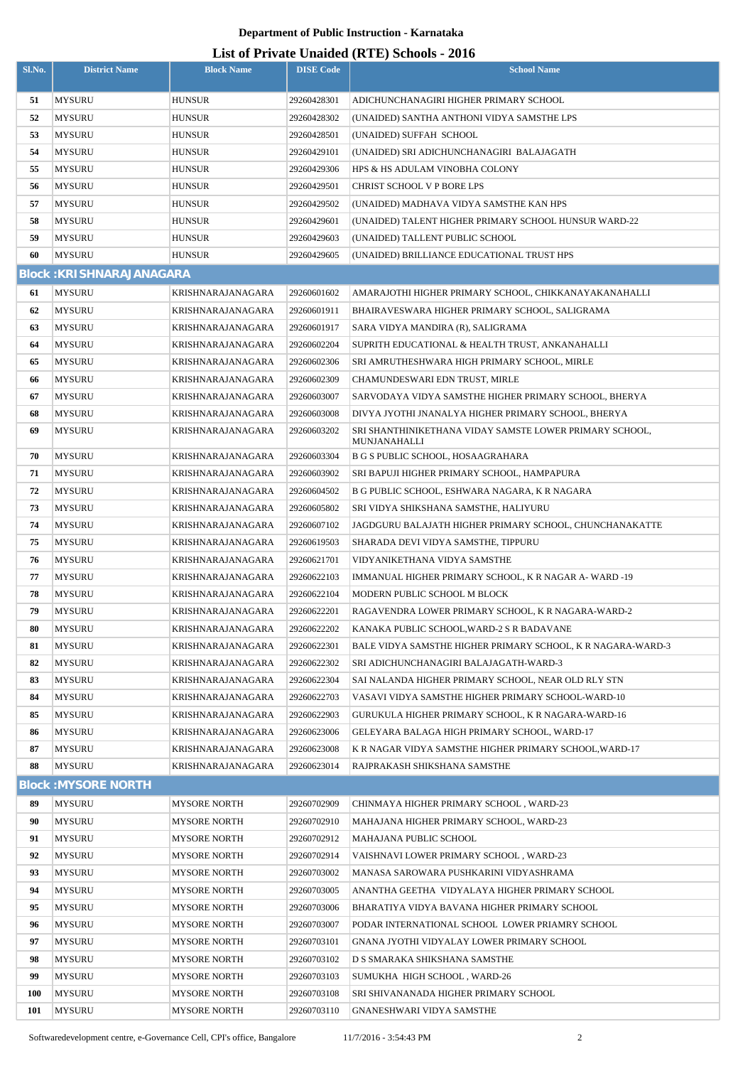| Sl.No.     | <b>District Name</b>            | <b>Block Name</b>   | <b>DISE Code</b> | $1111$ , and $0.041$ , $0.041$ , $0.010$ , $0.010$<br><b>School Name</b> |
|------------|---------------------------------|---------------------|------------------|--------------------------------------------------------------------------|
| 51         | <b>MYSURU</b>                   | <b>HUNSUR</b>       | 29260428301      | ADICHUNCHANAGIRI HIGHER PRIMARY SCHOOL                                   |
| 52         | <b>MYSURU</b>                   | <b>HUNSUR</b>       | 29260428302      | (UNAIDED) SANTHA ANTHONI VIDYA SAMSTHE LPS                               |
| 53         | <b>MYSURU</b>                   | <b>HUNSUR</b>       | 29260428501      | (UNAIDED) SUFFAH SCHOOL                                                  |
| 54         | <b>MYSURU</b>                   | <b>HUNSUR</b>       | 29260429101      | (UNAIDED) SRI ADICHUNCHANAGIRI BALAJAGATH                                |
| 55         | <b>MYSURU</b>                   | <b>HUNSUR</b>       | 29260429306      | HPS & HS ADULAM VINOBHA COLONY                                           |
| 56         | <b>MYSURU</b>                   | <b>HUNSUR</b>       | 29260429501      | CHRIST SCHOOL V P BORE LPS                                               |
| 57         | <b>MYSURU</b>                   | <b>HUNSUR</b>       | 29260429502      | (UNAIDED) MADHAVA VIDYA SAMSTHE KAN HPS                                  |
| 58         | <b>MYSURU</b>                   | <b>HUNSUR</b>       | 29260429601      | (UNAIDED) TALENT HIGHER PRIMARY SCHOOL HUNSUR WARD-22                    |
| 59         | <b>MYSURU</b>                   | <b>HUNSUR</b>       | 29260429603      | (UNAIDED) TALLENT PUBLIC SCHOOL                                          |
| 60         | <b>MYSURU</b>                   | <b>HUNSUR</b>       | 29260429605      | (UNAIDED) BRILLIANCE EDUCATIONAL TRUST HPS                               |
|            | <b>Block: KRISHNARAJANAGARA</b> |                     |                  |                                                                          |
| 61         | <b>MYSURU</b>                   | KRISHNARAJANAGARA   | 29260601602      | AMARAJOTHI HIGHER PRIMARY SCHOOL, CHIKKANAYAKANAHALLI                    |
| 62         | <b>MYSURU</b>                   | KRISHNARAJANAGARA   | 29260601911      | BHAIRAVESWARA HIGHER PRIMARY SCHOOL, SALIGRAMA                           |
| 63         | <b>MYSURU</b>                   | KRISHNARAJANAGARA   | 29260601917      | SARA VIDYA MANDIRA (R), SALIGRAMA                                        |
| 64         | <b>MYSURU</b>                   | KRISHNARAJANAGARA   | 29260602204      | SUPRITH EDUCATIONAL & HEALTH TRUST, ANKANAHALLI                          |
| 65         | <b>MYSURU</b>                   | KRISHNARAJANAGARA   | 29260602306      | SRI AMRUTHESHWARA HIGH PRIMARY SCHOOL, MIRLE                             |
| 66         | MYSURU                          | KRISHNARAJANAGARA   | 29260602309      | CHAMUNDESWARI EDN TRUST, MIRLE                                           |
| 67         | <b>MYSURU</b>                   | KRISHNARAJANAGARA   | 29260603007      | SARVODAYA VIDYA SAMSTHE HIGHER PRIMARY SCHOOL, BHERYA                    |
| 68         | <b>MYSURU</b>                   | KRISHNARAJANAGARA   | 29260603008      | DIVYA JYOTHI JNANALYA HIGHER PRIMARY SCHOOL, BHERYA                      |
| 69         | <b>MYSURU</b>                   | KRISHNARAJANAGARA   | 29260603202      | SRI SHANTHINIKETHANA VIDAY SAMSTE LOWER PRIMARY SCHOOL,<br>MUNJANAHALLI  |
| 70         | <b>MYSURU</b>                   | KRISHNARAJANAGARA   | 29260603304      | B G S PUBLIC SCHOOL, HOSAAGRAHARA                                        |
| 71         | <b>MYSURU</b>                   | KRISHNARAJANAGARA   | 29260603902      | SRI BAPUJI HIGHER PRIMARY SCHOOL, HAMPAPURA                              |
| 72         | <b>MYSURU</b>                   | KRISHNARAJANAGARA   | 29260604502      | B G PUBLIC SCHOOL, ESHWARA NAGARA, K R NAGARA                            |
| 73         | <b>MYSURU</b>                   | KRISHNARAJANAGARA   | 29260605802      | SRI VIDYA SHIKSHANA SAMSTHE, HALIYURU                                    |
| 74         | <b>MYSURU</b>                   | KRISHNARAJANAGARA   | 29260607102      | JAGDGURU BALAJATH HIGHER PRIMARY SCHOOL, CHUNCHANAKATTE                  |
| 75         | <b>MYSURU</b>                   | KRISHNARAJANAGARA   | 29260619503      | SHARADA DEVI VIDYA SAMSTHE, TIPPURU                                      |
| 76         | <b>MYSURU</b>                   | KRISHNARAJANAGARA   | 29260621701      | VIDYANIKETHANA VIDYA SAMSTHE                                             |
| 77         | <b>MYSURU</b>                   | KRISHNARAJANAGARA   | 29260622103      | IMMANUAL HIGHER PRIMARY SCHOOL, K R NAGAR A-WARD -19                     |
| 78         | <b>MYSURU</b>                   | KRISHNARAJANAGARA   | 29260622104      | MODERN PUBLIC SCHOOL M BLOCK                                             |
| 79         | <b>MYSURU</b>                   | KRISHNARAJANAGARA   | 29260622201      | RAGAVENDRA LOWER PRIMARY SCHOOL, K R NAGARA-WARD-2                       |
| 80         | MYSURU                          | KRISHNARAJANAGARA   | 29260622202      | KANAKA PUBLIC SCHOOL, WARD-2 S R BADAVANE                                |
| 81         | MYSURU                          | KRISHNARAJANAGARA   | 29260622301      | BALE VIDYA SAMSTHE HIGHER PRIMARY SCHOOL, K R NAGARA-WARD-3              |
| 82         | <b>MYSURU</b>                   | KRISHNARAJANAGARA   | 29260622302      | SRI ADICHUNCHANAGIRI BALAJAGATH-WARD-3                                   |
| 83         | <b>MYSURU</b>                   | KRISHNARAJANAGARA   | 29260622304      | SAI NALANDA HIGHER PRIMARY SCHOOL, NEAR OLD RLY STN                      |
| 84         | MYSURU                          | KRISHNARAJANAGARA   | 29260622703      | VASAVI VIDYA SAMSTHE HIGHER PRIMARY SCHOOL-WARD-10                       |
| 85         | MYSURU                          | KRISHNARAJANAGARA   | 29260622903      | GURUKULA HIGHER PRIMARY SCHOOL, K R NAGARA-WARD-16                       |
| 86         | MYSURU                          | KRISHNARAJANAGARA   | 29260623006      | GELEYARA BALAGA HIGH PRIMARY SCHOOL, WARD-17                             |
| 87         | MYSURU                          | KRISHNARAJANAGARA   | 29260623008      | K R NAGAR VIDYA SAMSTHE HIGHER PRIMARY SCHOOL, WARD-17                   |
| 88         | MYSURU                          | KRISHNARAJANAGARA   | 29260623014      | RAJPRAKASH SHIKSHANA SAMSTHE                                             |
|            | <b>Block: MYSORE NORTH</b>      |                     |                  |                                                                          |
| 89         | <b>MYSURU</b>                   | <b>MYSORE NORTH</b> | 29260702909      | CHINMAYA HIGHER PRIMARY SCHOOL, WARD-23                                  |
| 90         | MYSURU                          | <b>MYSORE NORTH</b> | 29260702910      | MAHAJANA HIGHER PRIMARY SCHOOL, WARD-23                                  |
| 91         | MYSURU                          | <b>MYSORE NORTH</b> | 29260702912      | MAHAJANA PUBLIC SCHOOL                                                   |
| 92         | <b>MYSURU</b>                   | <b>MYSORE NORTH</b> | 29260702914      | VAISHNAVI LOWER PRIMARY SCHOOL, WARD-23                                  |
| 93         | <b>MYSURU</b>                   | <b>MYSORE NORTH</b> | 29260703002      | MANASA SAROWARA PUSHKARINI VIDYASHRAMA                                   |
| 94         | <b>MYSURU</b>                   | <b>MYSORE NORTH</b> | 29260703005      | ANANTHA GEETHA VIDYALAYA HIGHER PRIMARY SCHOOL                           |
| 95         | <b>MYSURU</b>                   | <b>MYSORE NORTH</b> | 29260703006      | BHARATIYA VIDYA BAVANA HIGHER PRIMARY SCHOOL                             |
| 96         | <b>MYSURU</b>                   | <b>MYSORE NORTH</b> | 29260703007      | PODAR INTERNATIONAL SCHOOL LOWER PRIAMRY SCHOOL                          |
| 97         | <b>MYSURU</b>                   | <b>MYSORE NORTH</b> | 29260703101      | GNANA JYOTHI VIDYALAY LOWER PRIMARY SCHOOL                               |
| 98         | <b>MYSURU</b>                   | <b>MYSORE NORTH</b> | 29260703102      | D S SMARAKA SHIKSHANA SAMSTHE                                            |
| 99         | <b>MYSURU</b>                   | <b>MYSORE NORTH</b> | 29260703103      | SUMUKHA HIGH SCHOOL, WARD-26                                             |
| <b>100</b> | <b>MYSURU</b>                   | <b>MYSORE NORTH</b> | 29260703108      | SRI SHIVANANADA HIGHER PRIMARY SCHOOL                                    |
| 101        | <b>MYSURU</b>                   | <b>MYSORE NORTH</b> | 29260703110      | GNANESHWARI VIDYA SAMSTHE                                                |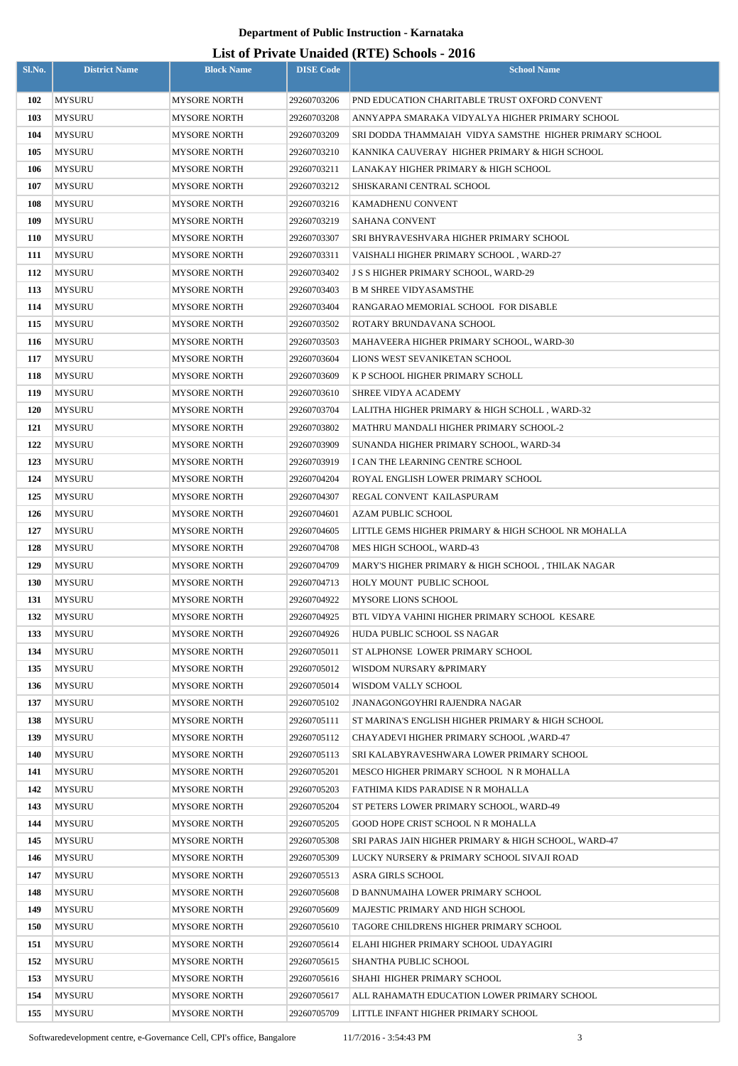| Sl.No.     | <b>District Name</b> | <b>Block Name</b>   | <b>DISE Code</b> | $\sigma$ and $\sigma$ and $\sigma$ ( $\sigma$ ) $\sigma$ and $\sigma$<br><b>School Name</b> |
|------------|----------------------|---------------------|------------------|---------------------------------------------------------------------------------------------|
| 102        | <b>MYSURU</b>        | <b>MYSORE NORTH</b> | 29260703206      | PND EDUCATION CHARITABLE TRUST OXFORD CONVENT                                               |
| 103        | <b>MYSURU</b>        | MYSORE NORTH        | 29260703208      | ANNYAPPA SMARAKA VIDYALYA HIGHER PRIMARY SCHOOL                                             |
| 104        | <b>MYSURU</b>        | MYSORE NORTH        | 29260703209      | SRI DODDA THAMMAIAH VIDYA SAMSTHE HIGHER PRIMARY SCHOOL                                     |
| 105        | <b>MYSURU</b>        | MYSORE NORTH        | 29260703210      | KANNIKA CAUVERAY HIGHER PRIMARY & HIGH SCHOOL                                               |
| 106        | <b>MYSURU</b>        | MYSORE NORTH        | 29260703211      | LANAKAY HIGHER PRIMARY & HIGH SCHOOL                                                        |
| 107        | <b>MYSURU</b>        | MYSORE NORTH        | 29260703212      | SHISKARANI CENTRAL SCHOOL                                                                   |
| 108        | <b>MYSURU</b>        | MYSORE NORTH        | 29260703216      | KAMADHENU CONVENT                                                                           |
| 109        | <b>MYSURU</b>        | MYSORE NORTH        | 29260703219      | <b>SAHANA CONVENT</b>                                                                       |
| 110        | <b>MYSURU</b>        | MYSORE NORTH        | 29260703307      | SRI BHYRAVESHVARA HIGHER PRIMARY SCHOOL                                                     |
| 111        | <b>MYSURU</b>        | MYSORE NORTH        | 29260703311      | VAISHALI HIGHER PRIMARY SCHOOL, WARD-27                                                     |
| 112        | <b>MYSURU</b>        | MYSORE NORTH        | 29260703402      | <b>J S S HIGHER PRIMARY SCHOOL, WARD-29</b>                                                 |
| 113        | <b>MYSURU</b>        | MYSORE NORTH        | 29260703403      | <b>B M SHREE VIDYASAMSTHE</b>                                                               |
| 114        | <b>MYSURU</b>        | MYSORE NORTH        | 29260703404      | RANGARAO MEMORIAL SCHOOL FOR DISABLE                                                        |
| 115        | MYSURU               | MYSORE NORTH        | 29260703502      | ROTARY BRUNDAVANA SCHOOL                                                                    |
| 116        | <b>MYSURU</b>        | MYSORE NORTH        | 29260703503      | MAHAVEERA HIGHER PRIMARY SCHOOL, WARD-30                                                    |
| 117        | <b>MYSURU</b>        | MYSORE NORTH        | 29260703604      | LIONS WEST SEVANIKETAN SCHOOL                                                               |
| 118        | <b>MYSURU</b>        | MYSORE NORTH        | 29260703609      | K P SCHOOL HIGHER PRIMARY SCHOLL                                                            |
| 119        | MYSURU               | MYSORE NORTH        | 29260703610      | SHREE VIDYA ACADEMY                                                                         |
| <b>120</b> | MYSURU               | MYSORE NORTH        | 29260703704      | LALITHA HIGHER PRIMARY & HIGH SCHOLL, WARD-32                                               |
| 121        | MYSURU               | MYSORE NORTH        | 29260703802      | MATHRU MANDALI HIGHER PRIMARY SCHOOL-2                                                      |
| 122        | MYSURU               | MYSORE NORTH        | 29260703909      | SUNANDA HIGHER PRIMARY SCHOOL, WARD-34                                                      |
| 123        | MYSURU               | MYSORE NORTH        | 29260703919      | I CAN THE LEARNING CENTRE SCHOOL                                                            |
| 124        | MYSURU               | MYSORE NORTH        | 29260704204      | ROYAL ENGLISH LOWER PRIMARY SCHOOL                                                          |
| 125        | MYSURU               | MYSORE NORTH        | 29260704307      | REGAL CONVENT KAILASPURAM                                                                   |
| 126        | <b>MYSURU</b>        | MYSORE NORTH        | 29260704601      | <b>AZAM PUBLIC SCHOOL</b>                                                                   |
| 127        | <b>MYSURU</b>        | MYSORE NORTH        | 29260704605      | LITTLE GEMS HIGHER PRIMARY & HIGH SCHOOL NR MOHALLA                                         |
| 128        | <b>MYSURU</b>        | <b>MYSORE NORTH</b> | 29260704708      | MES HIGH SCHOOL, WARD-43                                                                    |
| 129        | <b>MYSURU</b>        | <b>MYSORE NORTH</b> | 29260704709      | MARY'S HIGHER PRIMARY & HIGH SCHOOL, THILAK NAGAR                                           |
| <b>130</b> | <b>MYSURU</b>        | <b>MYSORE NORTH</b> | 29260704713      | HOLY MOUNT PUBLIC SCHOOL                                                                    |
| 131        | <b>MYSURU</b>        | MYSORE NORTH        | 29260704922      | <b>MYSORE LIONS SCHOOL</b>                                                                  |
| 132        | <b>MYSURU</b>        | <b>MYSORE NORTH</b> | 29260704925      | BTL VIDYA VAHINI HIGHER PRIMARY SCHOOL KESARE                                               |
| 133        | MYSURU               | MYSORE NORTH        | 29260704926      | HUDA PUBLIC SCHOOL SS NAGAR                                                                 |
| 134        | <b>MYSURU</b>        | MYSORE NORTH        | 29260705011      | ST ALPHONSE LOWER PRIMARY SCHOOL                                                            |
| 135        | <b>MYSURU</b>        | MYSORE NORTH        | 29260705012      | WISDOM NURSARY &PRIMARY                                                                     |
| 136        | <b>MYSURU</b>        | MYSORE NORTH        | 29260705014      | WISDOM VALLY SCHOOL                                                                         |
| 137        | <b>MYSURU</b>        | <b>MYSORE NORTH</b> | 29260705102      | JNANAGONGOYHRI RAJENDRA NAGAR                                                               |
| 138        | <b>MYSURU</b>        | MYSORE NORTH        | 29260705111      | ST MARINA'S ENGLISH HIGHER PRIMARY & HIGH SCHOOL                                            |
| 139        | <b>MYSURU</b>        | MYSORE NORTH        | 29260705112      | CHAYADEVI HIGHER PRIMARY SCHOOL, WARD-47                                                    |
| 140        | MYSURU               | MYSORE NORTH        | 29260705113      | SRI KALABYRAVESHWARA LOWER PRIMARY SCHOOL                                                   |
| 141        | MYSURU               | MYSORE NORTH        | 29260705201      | MESCO HIGHER PRIMARY SCHOOL N R MOHALLA                                                     |
| 142        | <b>MYSURU</b>        | MYSORE NORTH        | 29260705203      | FATHIMA KIDS PARADISE N R MOHALLA                                                           |
| 143        | MYSURU               | MYSORE NORTH        | 29260705204      | ST PETERS LOWER PRIMARY SCHOOL, WARD-49                                                     |
| 144        | MYSURU               | MYSORE NORTH        | 29260705205      | GOOD HOPE CRIST SCHOOL N R MOHALLA                                                          |
| 145        | MYSURU               | MYSORE NORTH        | 29260705308      | SRI PARAS JAIN HIGHER PRIMARY & HIGH SCHOOL, WARD-47                                        |
| 146        | <b>MYSURU</b>        | MYSORE NORTH        | 29260705309      | LUCKY NURSERY & PRIMARY SCHOOL SIVAJI ROAD                                                  |
| 147        | <b>MYSURU</b>        | <b>MYSORE NORTH</b> | 29260705513      | <b>ASRA GIRLS SCHOOL</b>                                                                    |
| 148        | <b>MYSURU</b>        | MYSORE NORTH        | 29260705608      | D BANNUMAIHA LOWER PRIMARY SCHOOL                                                           |
| 149        | <b>MYSURU</b>        | <b>MYSORE NORTH</b> | 29260705609      | MAJESTIC PRIMARY AND HIGH SCHOOL                                                            |
| <b>150</b> | <b>MYSURU</b>        | MYSORE NORTH        | 29260705610      | TAGORE CHILDRENS HIGHER PRIMARY SCHOOL                                                      |
| 151        | <b>MYSURU</b>        | MYSORE NORTH        | 29260705614      | ELAHI HIGHER PRIMARY SCHOOL UDAYAGIRI                                                       |
| 152        | MYSURU               | MYSORE NORTH        | 29260705615      | SHANTHA PUBLIC SCHOOL                                                                       |
| 153        | MYSURU               | MYSORE NORTH        | 29260705616      | SHAHI HIGHER PRIMARY SCHOOL                                                                 |
| 154        | MYSURU               | <b>MYSORE NORTH</b> | 29260705617      | ALL RAHAMATH EDUCATION LOWER PRIMARY SCHOOL                                                 |
| 155        | <b>MYSURU</b>        | MYSORE NORTH        | 29260705709      | LITTLE INFANT HIGHER PRIMARY SCHOOL                                                         |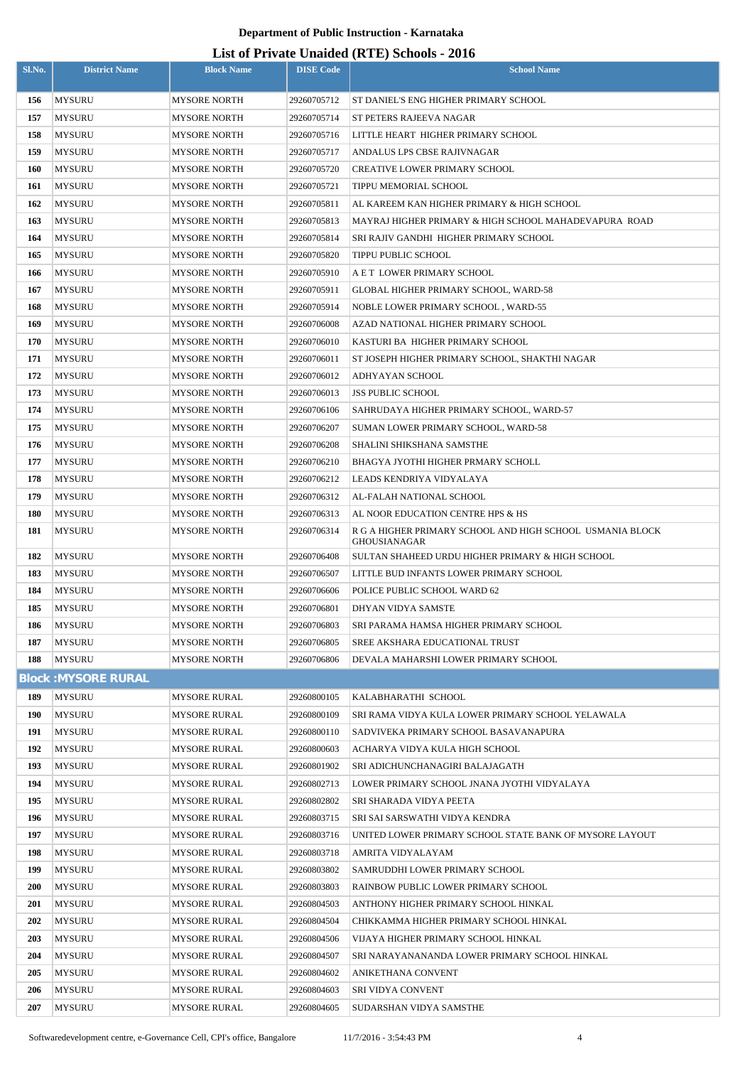| <b>MYSURU</b><br><b>MYSORE NORTH</b><br>29260705712<br>ST DANIEL'S ENG HIGHER PRIMARY SCHOOL<br>156<br>157<br><b>MYSURU</b><br><b>MYSORE NORTH</b><br>29260705714<br><b>ST PETERS RAJEEVA NAGAR</b><br>158<br><b>MYSURU</b><br>29260705716<br>LITTLE HEART HIGHER PRIMARY SCHOOL<br>MYSORE NORTH<br>159<br><b>MYSURU</b><br><b>MYSORE NORTH</b><br>29260705717<br>ANDALUS LPS CBSE RAJIVNAGAR<br><b>160</b><br><b>MYSURU</b><br><b>MYSORE NORTH</b><br>29260705720<br><b>CREATIVE LOWER PRIMARY SCHOOL</b><br>161<br><b>MYSURU</b><br>29260705721<br>TIPPU MEMORIAL SCHOOL<br>MYSORE NORTH<br>162<br><b>MYSURU</b><br><b>MYSORE NORTH</b><br>29260705811<br>AL KAREEM KAN HIGHER PRIMARY & HIGH SCHOOL<br>163<br><b>MYSURU</b><br><b>MYSORE NORTH</b><br>29260705813<br>MAYRAJ HIGHER PRIMARY & HIGH SCHOOL MAHADEVAPURA ROAD<br>164<br><b>MYSURU</b><br><b>MYSORE NORTH</b><br>29260705814<br>SRI RAJIV GANDHI HIGHER PRIMARY SCHOOL<br>165<br><b>MYSURU</b><br>29260705820<br>MYSORE NORTH<br>TIPPU PUBLIC SCHOOL<br><b>MYSURU</b><br>29260705910<br>A E T LOWER PRIMARY SCHOOL<br>166<br>MYSORE NORTH<br>167<br><b>MYSURU</b><br>MYSORE NORTH<br>29260705911<br>GLOBAL HIGHER PRIMARY SCHOOL, WARD-58<br>168<br><b>MYSURU</b><br><b>MYSORE NORTH</b><br>29260705914<br>NOBLE LOWER PRIMARY SCHOOL, WARD-55<br>169<br><b>MYSURU</b><br>29260706008<br>AZAD NATIONAL HIGHER PRIMARY SCHOOL<br><b>MYSORE NORTH</b><br>170<br><b>MYSURU</b><br>MYSORE NORTH<br>29260706010<br>KASTURI BA HIGHER PRIMARY SCHOOL<br>171<br><b>MYSURU</b><br>29260706011<br>MYSORE NORTH<br>ST JOSEPH HIGHER PRIMARY SCHOOL, SHAKTHI NAGAR<br>172<br><b>MYSURU</b><br>29260706012<br>ADHYAYAN SCHOOL<br>MYSORE NORTH<br>173<br><b>MYSURU</b><br>29260706013<br>MYSORE NORTH<br><b>JSS PUBLIC SCHOOL</b><br>174<br><b>MYSURU</b><br>SAHRUDAYA HIGHER PRIMARY SCHOOL, WARD-57<br>MYSORE NORTH<br>29260706106<br>175<br><b>MYSURU</b><br>29260706207<br>MYSORE NORTH<br>SUMAN LOWER PRIMARY SCHOOL, WARD-58<br>176<br><b>MYSURU</b><br>SHALINI SHIKSHANA SAMSTHE<br>MYSORE NORTH<br>29260706208<br>177<br><b>MYSURU</b><br>29260706210<br>BHAGYA JYOTHI HIGHER PRMARY SCHOLL<br>MYSORE NORTH<br>178<br><b>MYSURU</b><br>MYSORE NORTH<br>29260706212<br>LEADS KENDRIYA VIDYALAYA<br>179<br><b>MYSURU</b><br>29260706312<br>AL-FALAH NATIONAL SCHOOL<br>MYSORE NORTH<br>180<br><b>MYSURU</b><br>29260706313<br><b>MYSORE NORTH</b><br>AL NOOR EDUCATION CENTRE HPS & HS<br>181<br><b>MYSURU</b><br><b>MYSORE NORTH</b><br>29260706314<br>R G A HIGHER PRIMARY SCHOOL AND HIGH SCHOOL USMANIA BLOCK<br>GHOUSIANAGAR<br>182<br><b>MYSURU</b><br>MYSORE NORTH<br>29260706408<br>SULTAN SHAHEED URDU HIGHER PRIMARY & HIGH SCHOOL<br>183<br><b>MYSURU</b><br><b>MYSORE NORTH</b><br>29260706507<br>LITTLE BUD INFANTS LOWER PRIMARY SCHOOL<br>184<br><b>MYSURU</b><br><b>MYSORE NORTH</b><br>29260706606<br>POLICE PUBLIC SCHOOL WARD 62<br>185<br><b>MYSURU</b><br>29260706801<br>MYSORE NORTH<br>DHYAN VIDYA SAMSTE<br>186<br><b>MYSURU</b><br>29260706803<br>MYSORE NORTH<br>SRI PARAMA HAMSA HIGHER PRIMARY SCHOOL<br>187<br><b>MYSURU</b><br><b>MYSORE NORTH</b><br>29260706805<br>SREE AKSHARA EDUCATIONAL TRUST<br>188<br><b>MYSURU</b><br><b>MYSORE NORTH</b><br>29260706806<br>DEVALA MAHARSHI LOWER PRIMARY SCHOOL<br><b>Block: MYSORE RURAL</b><br>189<br><b>MYSURU</b><br>29260800105<br><b>MYSORE RURAL</b><br>KALABHARATHI SCHOOL<br>190<br><b>MYSURU</b><br><b>MYSORE RURAL</b><br>29260800109<br>SRI RAMA VIDYA KULA LOWER PRIMARY SCHOOL YELAWALA<br>191<br><b>MYSURU</b><br>MYSORE RURAL<br>29260800110<br>SADVIVEKA PRIMARY SCHOOL BASAVANAPURA<br>192<br><b>MYSURU</b><br>29260800603<br>MYSORE RURAL<br>ACHARYA VIDYA KULA HIGH SCHOOL<br>193<br><b>MYSURU</b><br><b>MYSORE RURAL</b><br>29260801902<br>SRI ADICHUNCHANAGIRI BALAJAGATH<br>194<br><b>MYSURU</b><br><b>MYSORE RURAL</b><br>29260802713<br>LOWER PRIMARY SCHOOL JNANA JYOTHI VIDYALAYA<br>195<br><b>MYSURU</b><br><b>MYSORE RURAL</b><br>29260802802<br>SRI SHARADA VIDYA PEETA<br>196<br><b>MYSURU</b><br><b>MYSORE RURAL</b><br>29260803715<br>SRI SAI SARSWATHI VIDYA KENDRA<br>197<br><b>MYSURU</b><br><b>MYSORE RURAL</b><br>29260803716<br>UNITED LOWER PRIMARY SCHOOL STATE BANK OF MYSORE LAYOUT<br>198<br><b>MYSURU</b><br><b>MYSORE RURAL</b><br>29260803718<br>AMRITA VIDYALAYAM<br>199<br><b>MYSURU</b><br><b>MYSORE RURAL</b><br>29260803802<br>SAMRUDDHI LOWER PRIMARY SCHOOL<br>200<br><b>MYSURU</b><br><b>MYSORE RURAL</b><br>29260803803<br>RAINBOW PUBLIC LOWER PRIMARY SCHOOL<br>201<br><b>MYSURU</b><br>29260804503<br>ANTHONY HIGHER PRIMARY SCHOOL HINKAL<br>MYSORE RURAL<br>202<br><b>MYSURU</b><br>29260804504<br>CHIKKAMMA HIGHER PRIMARY SCHOOL HINKAL<br>MYSORE RURAL<br>203<br><b>MYSURU</b><br>MYSORE RURAL<br>29260804506<br>VIJAYA HIGHER PRIMARY SCHOOL HINKAL<br>204<br><b>MYSURU</b><br><b>MYSORE RURAL</b><br>29260804507<br>SRI NARAYANANANDA LOWER PRIMARY SCHOOL HINKAL<br>205<br><b>MYSURU</b><br><b>MYSORE RURAL</b><br>29260804602<br>ANIKETHANA CONVENT<br><b>MYSURU</b><br><b>MYSORE RURAL</b><br>29260804603<br>206<br><b>SRI VIDYA CONVENT</b> | Sl.No. | <b>District Name</b> | <b>Block Name</b>   | <b>DISE Code</b> | $\mu$ <sub>15</sub> of T <sub>11</sub> , and Onatucu (IVIII) behoofs $\mu$ <sub>010</sub><br><b>School Name</b> |
|---------------------------------------------------------------------------------------------------------------------------------------------------------------------------------------------------------------------------------------------------------------------------------------------------------------------------------------------------------------------------------------------------------------------------------------------------------------------------------------------------------------------------------------------------------------------------------------------------------------------------------------------------------------------------------------------------------------------------------------------------------------------------------------------------------------------------------------------------------------------------------------------------------------------------------------------------------------------------------------------------------------------------------------------------------------------------------------------------------------------------------------------------------------------------------------------------------------------------------------------------------------------------------------------------------------------------------------------------------------------------------------------------------------------------------------------------------------------------------------------------------------------------------------------------------------------------------------------------------------------------------------------------------------------------------------------------------------------------------------------------------------------------------------------------------------------------------------------------------------------------------------------------------------------------------------------------------------------------------------------------------------------------------------------------------------------------------------------------------------------------------------------------------------------------------------------------------------------------------------------------------------------------------------------------------------------------------------------------------------------------------------------------------------------------------------------------------------------------------------------------------------------------------------------------------------------------------------------------------------------------------------------------------------------------------------------------------------------------------------------------------------------------------------------------------------------------------------------------------------------------------------------------------------------------------------------------------------------------------------------------------------------------------------------------------------------------------------------------------------------------------------------------------------------------------------------------------------------------------------------------------------------------------------------------------------------------------------------------------------------------------------------------------------------------------------------------------------------------------------------------------------------------------------------------------------------------------------------------------------------------------------------------------------------------------------------------------------------------------------------------------------------------------------------------------------------------------------------------------------------------------------------------------------------------------------------------------------------------------------------------------------------------------------------------------------------------------------------------------------------------------------------------------------------------------------------------------------------------------------------------------------------------------------------------------------------------------------------------------------------------------------------------------------------------------------------------------------------------------------------------------------------------------------------------------------------------------------------------------------------------------------------------------------------------------------------------------------------------------------------------------------------------------------------------------------------------------------------------------------------------------------------------------------------------------------------------------------------------------------------------------------------------------------------------------------------------------------------------------------------------------------------------|--------|----------------------|---------------------|------------------|-----------------------------------------------------------------------------------------------------------------|
|                                                                                                                                                                                                                                                                                                                                                                                                                                                                                                                                                                                                                                                                                                                                                                                                                                                                                                                                                                                                                                                                                                                                                                                                                                                                                                                                                                                                                                                                                                                                                                                                                                                                                                                                                                                                                                                                                                                                                                                                                                                                                                                                                                                                                                                                                                                                                                                                                                                                                                                                                                                                                                                                                                                                                                                                                                                                                                                                                                                                                                                                                                                                                                                                                                                                                                                                                                                                                                                                                                                                                                                                                                                                                                                                                                                                                                                                                                                                                                                                                                                                                                                                                                                                                                                                                                                                                                                                                                                                                                                                                                                                                                                                                                                                                                                                                                                                                                                                                                                                                                                                                                                                                   |        |                      |                     |                  |                                                                                                                 |
|                                                                                                                                                                                                                                                                                                                                                                                                                                                                                                                                                                                                                                                                                                                                                                                                                                                                                                                                                                                                                                                                                                                                                                                                                                                                                                                                                                                                                                                                                                                                                                                                                                                                                                                                                                                                                                                                                                                                                                                                                                                                                                                                                                                                                                                                                                                                                                                                                                                                                                                                                                                                                                                                                                                                                                                                                                                                                                                                                                                                                                                                                                                                                                                                                                                                                                                                                                                                                                                                                                                                                                                                                                                                                                                                                                                                                                                                                                                                                                                                                                                                                                                                                                                                                                                                                                                                                                                                                                                                                                                                                                                                                                                                                                                                                                                                                                                                                                                                                                                                                                                                                                                                                   |        |                      |                     |                  |                                                                                                                 |
|                                                                                                                                                                                                                                                                                                                                                                                                                                                                                                                                                                                                                                                                                                                                                                                                                                                                                                                                                                                                                                                                                                                                                                                                                                                                                                                                                                                                                                                                                                                                                                                                                                                                                                                                                                                                                                                                                                                                                                                                                                                                                                                                                                                                                                                                                                                                                                                                                                                                                                                                                                                                                                                                                                                                                                                                                                                                                                                                                                                                                                                                                                                                                                                                                                                                                                                                                                                                                                                                                                                                                                                                                                                                                                                                                                                                                                                                                                                                                                                                                                                                                                                                                                                                                                                                                                                                                                                                                                                                                                                                                                                                                                                                                                                                                                                                                                                                                                                                                                                                                                                                                                                                                   |        |                      |                     |                  |                                                                                                                 |
|                                                                                                                                                                                                                                                                                                                                                                                                                                                                                                                                                                                                                                                                                                                                                                                                                                                                                                                                                                                                                                                                                                                                                                                                                                                                                                                                                                                                                                                                                                                                                                                                                                                                                                                                                                                                                                                                                                                                                                                                                                                                                                                                                                                                                                                                                                                                                                                                                                                                                                                                                                                                                                                                                                                                                                                                                                                                                                                                                                                                                                                                                                                                                                                                                                                                                                                                                                                                                                                                                                                                                                                                                                                                                                                                                                                                                                                                                                                                                                                                                                                                                                                                                                                                                                                                                                                                                                                                                                                                                                                                                                                                                                                                                                                                                                                                                                                                                                                                                                                                                                                                                                                                                   |        |                      |                     |                  |                                                                                                                 |
|                                                                                                                                                                                                                                                                                                                                                                                                                                                                                                                                                                                                                                                                                                                                                                                                                                                                                                                                                                                                                                                                                                                                                                                                                                                                                                                                                                                                                                                                                                                                                                                                                                                                                                                                                                                                                                                                                                                                                                                                                                                                                                                                                                                                                                                                                                                                                                                                                                                                                                                                                                                                                                                                                                                                                                                                                                                                                                                                                                                                                                                                                                                                                                                                                                                                                                                                                                                                                                                                                                                                                                                                                                                                                                                                                                                                                                                                                                                                                                                                                                                                                                                                                                                                                                                                                                                                                                                                                                                                                                                                                                                                                                                                                                                                                                                                                                                                                                                                                                                                                                                                                                                                                   |        |                      |                     |                  |                                                                                                                 |
|                                                                                                                                                                                                                                                                                                                                                                                                                                                                                                                                                                                                                                                                                                                                                                                                                                                                                                                                                                                                                                                                                                                                                                                                                                                                                                                                                                                                                                                                                                                                                                                                                                                                                                                                                                                                                                                                                                                                                                                                                                                                                                                                                                                                                                                                                                                                                                                                                                                                                                                                                                                                                                                                                                                                                                                                                                                                                                                                                                                                                                                                                                                                                                                                                                                                                                                                                                                                                                                                                                                                                                                                                                                                                                                                                                                                                                                                                                                                                                                                                                                                                                                                                                                                                                                                                                                                                                                                                                                                                                                                                                                                                                                                                                                                                                                                                                                                                                                                                                                                                                                                                                                                                   |        |                      |                     |                  |                                                                                                                 |
|                                                                                                                                                                                                                                                                                                                                                                                                                                                                                                                                                                                                                                                                                                                                                                                                                                                                                                                                                                                                                                                                                                                                                                                                                                                                                                                                                                                                                                                                                                                                                                                                                                                                                                                                                                                                                                                                                                                                                                                                                                                                                                                                                                                                                                                                                                                                                                                                                                                                                                                                                                                                                                                                                                                                                                                                                                                                                                                                                                                                                                                                                                                                                                                                                                                                                                                                                                                                                                                                                                                                                                                                                                                                                                                                                                                                                                                                                                                                                                                                                                                                                                                                                                                                                                                                                                                                                                                                                                                                                                                                                                                                                                                                                                                                                                                                                                                                                                                                                                                                                                                                                                                                                   |        |                      |                     |                  |                                                                                                                 |
|                                                                                                                                                                                                                                                                                                                                                                                                                                                                                                                                                                                                                                                                                                                                                                                                                                                                                                                                                                                                                                                                                                                                                                                                                                                                                                                                                                                                                                                                                                                                                                                                                                                                                                                                                                                                                                                                                                                                                                                                                                                                                                                                                                                                                                                                                                                                                                                                                                                                                                                                                                                                                                                                                                                                                                                                                                                                                                                                                                                                                                                                                                                                                                                                                                                                                                                                                                                                                                                                                                                                                                                                                                                                                                                                                                                                                                                                                                                                                                                                                                                                                                                                                                                                                                                                                                                                                                                                                                                                                                                                                                                                                                                                                                                                                                                                                                                                                                                                                                                                                                                                                                                                                   |        |                      |                     |                  |                                                                                                                 |
|                                                                                                                                                                                                                                                                                                                                                                                                                                                                                                                                                                                                                                                                                                                                                                                                                                                                                                                                                                                                                                                                                                                                                                                                                                                                                                                                                                                                                                                                                                                                                                                                                                                                                                                                                                                                                                                                                                                                                                                                                                                                                                                                                                                                                                                                                                                                                                                                                                                                                                                                                                                                                                                                                                                                                                                                                                                                                                                                                                                                                                                                                                                                                                                                                                                                                                                                                                                                                                                                                                                                                                                                                                                                                                                                                                                                                                                                                                                                                                                                                                                                                                                                                                                                                                                                                                                                                                                                                                                                                                                                                                                                                                                                                                                                                                                                                                                                                                                                                                                                                                                                                                                                                   |        |                      |                     |                  |                                                                                                                 |
|                                                                                                                                                                                                                                                                                                                                                                                                                                                                                                                                                                                                                                                                                                                                                                                                                                                                                                                                                                                                                                                                                                                                                                                                                                                                                                                                                                                                                                                                                                                                                                                                                                                                                                                                                                                                                                                                                                                                                                                                                                                                                                                                                                                                                                                                                                                                                                                                                                                                                                                                                                                                                                                                                                                                                                                                                                                                                                                                                                                                                                                                                                                                                                                                                                                                                                                                                                                                                                                                                                                                                                                                                                                                                                                                                                                                                                                                                                                                                                                                                                                                                                                                                                                                                                                                                                                                                                                                                                                                                                                                                                                                                                                                                                                                                                                                                                                                                                                                                                                                                                                                                                                                                   |        |                      |                     |                  |                                                                                                                 |
|                                                                                                                                                                                                                                                                                                                                                                                                                                                                                                                                                                                                                                                                                                                                                                                                                                                                                                                                                                                                                                                                                                                                                                                                                                                                                                                                                                                                                                                                                                                                                                                                                                                                                                                                                                                                                                                                                                                                                                                                                                                                                                                                                                                                                                                                                                                                                                                                                                                                                                                                                                                                                                                                                                                                                                                                                                                                                                                                                                                                                                                                                                                                                                                                                                                                                                                                                                                                                                                                                                                                                                                                                                                                                                                                                                                                                                                                                                                                                                                                                                                                                                                                                                                                                                                                                                                                                                                                                                                                                                                                                                                                                                                                                                                                                                                                                                                                                                                                                                                                                                                                                                                                                   |        |                      |                     |                  |                                                                                                                 |
|                                                                                                                                                                                                                                                                                                                                                                                                                                                                                                                                                                                                                                                                                                                                                                                                                                                                                                                                                                                                                                                                                                                                                                                                                                                                                                                                                                                                                                                                                                                                                                                                                                                                                                                                                                                                                                                                                                                                                                                                                                                                                                                                                                                                                                                                                                                                                                                                                                                                                                                                                                                                                                                                                                                                                                                                                                                                                                                                                                                                                                                                                                                                                                                                                                                                                                                                                                                                                                                                                                                                                                                                                                                                                                                                                                                                                                                                                                                                                                                                                                                                                                                                                                                                                                                                                                                                                                                                                                                                                                                                                                                                                                                                                                                                                                                                                                                                                                                                                                                                                                                                                                                                                   |        |                      |                     |                  |                                                                                                                 |
|                                                                                                                                                                                                                                                                                                                                                                                                                                                                                                                                                                                                                                                                                                                                                                                                                                                                                                                                                                                                                                                                                                                                                                                                                                                                                                                                                                                                                                                                                                                                                                                                                                                                                                                                                                                                                                                                                                                                                                                                                                                                                                                                                                                                                                                                                                                                                                                                                                                                                                                                                                                                                                                                                                                                                                                                                                                                                                                                                                                                                                                                                                                                                                                                                                                                                                                                                                                                                                                                                                                                                                                                                                                                                                                                                                                                                                                                                                                                                                                                                                                                                                                                                                                                                                                                                                                                                                                                                                                                                                                                                                                                                                                                                                                                                                                                                                                                                                                                                                                                                                                                                                                                                   |        |                      |                     |                  |                                                                                                                 |
|                                                                                                                                                                                                                                                                                                                                                                                                                                                                                                                                                                                                                                                                                                                                                                                                                                                                                                                                                                                                                                                                                                                                                                                                                                                                                                                                                                                                                                                                                                                                                                                                                                                                                                                                                                                                                                                                                                                                                                                                                                                                                                                                                                                                                                                                                                                                                                                                                                                                                                                                                                                                                                                                                                                                                                                                                                                                                                                                                                                                                                                                                                                                                                                                                                                                                                                                                                                                                                                                                                                                                                                                                                                                                                                                                                                                                                                                                                                                                                                                                                                                                                                                                                                                                                                                                                                                                                                                                                                                                                                                                                                                                                                                                                                                                                                                                                                                                                                                                                                                                                                                                                                                                   |        |                      |                     |                  |                                                                                                                 |
|                                                                                                                                                                                                                                                                                                                                                                                                                                                                                                                                                                                                                                                                                                                                                                                                                                                                                                                                                                                                                                                                                                                                                                                                                                                                                                                                                                                                                                                                                                                                                                                                                                                                                                                                                                                                                                                                                                                                                                                                                                                                                                                                                                                                                                                                                                                                                                                                                                                                                                                                                                                                                                                                                                                                                                                                                                                                                                                                                                                                                                                                                                                                                                                                                                                                                                                                                                                                                                                                                                                                                                                                                                                                                                                                                                                                                                                                                                                                                                                                                                                                                                                                                                                                                                                                                                                                                                                                                                                                                                                                                                                                                                                                                                                                                                                                                                                                                                                                                                                                                                                                                                                                                   |        |                      |                     |                  |                                                                                                                 |
|                                                                                                                                                                                                                                                                                                                                                                                                                                                                                                                                                                                                                                                                                                                                                                                                                                                                                                                                                                                                                                                                                                                                                                                                                                                                                                                                                                                                                                                                                                                                                                                                                                                                                                                                                                                                                                                                                                                                                                                                                                                                                                                                                                                                                                                                                                                                                                                                                                                                                                                                                                                                                                                                                                                                                                                                                                                                                                                                                                                                                                                                                                                                                                                                                                                                                                                                                                                                                                                                                                                                                                                                                                                                                                                                                                                                                                                                                                                                                                                                                                                                                                                                                                                                                                                                                                                                                                                                                                                                                                                                                                                                                                                                                                                                                                                                                                                                                                                                                                                                                                                                                                                                                   |        |                      |                     |                  |                                                                                                                 |
|                                                                                                                                                                                                                                                                                                                                                                                                                                                                                                                                                                                                                                                                                                                                                                                                                                                                                                                                                                                                                                                                                                                                                                                                                                                                                                                                                                                                                                                                                                                                                                                                                                                                                                                                                                                                                                                                                                                                                                                                                                                                                                                                                                                                                                                                                                                                                                                                                                                                                                                                                                                                                                                                                                                                                                                                                                                                                                                                                                                                                                                                                                                                                                                                                                                                                                                                                                                                                                                                                                                                                                                                                                                                                                                                                                                                                                                                                                                                                                                                                                                                                                                                                                                                                                                                                                                                                                                                                                                                                                                                                                                                                                                                                                                                                                                                                                                                                                                                                                                                                                                                                                                                                   |        |                      |                     |                  |                                                                                                                 |
|                                                                                                                                                                                                                                                                                                                                                                                                                                                                                                                                                                                                                                                                                                                                                                                                                                                                                                                                                                                                                                                                                                                                                                                                                                                                                                                                                                                                                                                                                                                                                                                                                                                                                                                                                                                                                                                                                                                                                                                                                                                                                                                                                                                                                                                                                                                                                                                                                                                                                                                                                                                                                                                                                                                                                                                                                                                                                                                                                                                                                                                                                                                                                                                                                                                                                                                                                                                                                                                                                                                                                                                                                                                                                                                                                                                                                                                                                                                                                                                                                                                                                                                                                                                                                                                                                                                                                                                                                                                                                                                                                                                                                                                                                                                                                                                                                                                                                                                                                                                                                                                                                                                                                   |        |                      |                     |                  |                                                                                                                 |
|                                                                                                                                                                                                                                                                                                                                                                                                                                                                                                                                                                                                                                                                                                                                                                                                                                                                                                                                                                                                                                                                                                                                                                                                                                                                                                                                                                                                                                                                                                                                                                                                                                                                                                                                                                                                                                                                                                                                                                                                                                                                                                                                                                                                                                                                                                                                                                                                                                                                                                                                                                                                                                                                                                                                                                                                                                                                                                                                                                                                                                                                                                                                                                                                                                                                                                                                                                                                                                                                                                                                                                                                                                                                                                                                                                                                                                                                                                                                                                                                                                                                                                                                                                                                                                                                                                                                                                                                                                                                                                                                                                                                                                                                                                                                                                                                                                                                                                                                                                                                                                                                                                                                                   |        |                      |                     |                  |                                                                                                                 |
|                                                                                                                                                                                                                                                                                                                                                                                                                                                                                                                                                                                                                                                                                                                                                                                                                                                                                                                                                                                                                                                                                                                                                                                                                                                                                                                                                                                                                                                                                                                                                                                                                                                                                                                                                                                                                                                                                                                                                                                                                                                                                                                                                                                                                                                                                                                                                                                                                                                                                                                                                                                                                                                                                                                                                                                                                                                                                                                                                                                                                                                                                                                                                                                                                                                                                                                                                                                                                                                                                                                                                                                                                                                                                                                                                                                                                                                                                                                                                                                                                                                                                                                                                                                                                                                                                                                                                                                                                                                                                                                                                                                                                                                                                                                                                                                                                                                                                                                                                                                                                                                                                                                                                   |        |                      |                     |                  |                                                                                                                 |
|                                                                                                                                                                                                                                                                                                                                                                                                                                                                                                                                                                                                                                                                                                                                                                                                                                                                                                                                                                                                                                                                                                                                                                                                                                                                                                                                                                                                                                                                                                                                                                                                                                                                                                                                                                                                                                                                                                                                                                                                                                                                                                                                                                                                                                                                                                                                                                                                                                                                                                                                                                                                                                                                                                                                                                                                                                                                                                                                                                                                                                                                                                                                                                                                                                                                                                                                                                                                                                                                                                                                                                                                                                                                                                                                                                                                                                                                                                                                                                                                                                                                                                                                                                                                                                                                                                                                                                                                                                                                                                                                                                                                                                                                                                                                                                                                                                                                                                                                                                                                                                                                                                                                                   |        |                      |                     |                  |                                                                                                                 |
|                                                                                                                                                                                                                                                                                                                                                                                                                                                                                                                                                                                                                                                                                                                                                                                                                                                                                                                                                                                                                                                                                                                                                                                                                                                                                                                                                                                                                                                                                                                                                                                                                                                                                                                                                                                                                                                                                                                                                                                                                                                                                                                                                                                                                                                                                                                                                                                                                                                                                                                                                                                                                                                                                                                                                                                                                                                                                                                                                                                                                                                                                                                                                                                                                                                                                                                                                                                                                                                                                                                                                                                                                                                                                                                                                                                                                                                                                                                                                                                                                                                                                                                                                                                                                                                                                                                                                                                                                                                                                                                                                                                                                                                                                                                                                                                                                                                                                                                                                                                                                                                                                                                                                   |        |                      |                     |                  |                                                                                                                 |
|                                                                                                                                                                                                                                                                                                                                                                                                                                                                                                                                                                                                                                                                                                                                                                                                                                                                                                                                                                                                                                                                                                                                                                                                                                                                                                                                                                                                                                                                                                                                                                                                                                                                                                                                                                                                                                                                                                                                                                                                                                                                                                                                                                                                                                                                                                                                                                                                                                                                                                                                                                                                                                                                                                                                                                                                                                                                                                                                                                                                                                                                                                                                                                                                                                                                                                                                                                                                                                                                                                                                                                                                                                                                                                                                                                                                                                                                                                                                                                                                                                                                                                                                                                                                                                                                                                                                                                                                                                                                                                                                                                                                                                                                                                                                                                                                                                                                                                                                                                                                                                                                                                                                                   |        |                      |                     |                  |                                                                                                                 |
|                                                                                                                                                                                                                                                                                                                                                                                                                                                                                                                                                                                                                                                                                                                                                                                                                                                                                                                                                                                                                                                                                                                                                                                                                                                                                                                                                                                                                                                                                                                                                                                                                                                                                                                                                                                                                                                                                                                                                                                                                                                                                                                                                                                                                                                                                                                                                                                                                                                                                                                                                                                                                                                                                                                                                                                                                                                                                                                                                                                                                                                                                                                                                                                                                                                                                                                                                                                                                                                                                                                                                                                                                                                                                                                                                                                                                                                                                                                                                                                                                                                                                                                                                                                                                                                                                                                                                                                                                                                                                                                                                                                                                                                                                                                                                                                                                                                                                                                                                                                                                                                                                                                                                   |        |                      |                     |                  |                                                                                                                 |
|                                                                                                                                                                                                                                                                                                                                                                                                                                                                                                                                                                                                                                                                                                                                                                                                                                                                                                                                                                                                                                                                                                                                                                                                                                                                                                                                                                                                                                                                                                                                                                                                                                                                                                                                                                                                                                                                                                                                                                                                                                                                                                                                                                                                                                                                                                                                                                                                                                                                                                                                                                                                                                                                                                                                                                                                                                                                                                                                                                                                                                                                                                                                                                                                                                                                                                                                                                                                                                                                                                                                                                                                                                                                                                                                                                                                                                                                                                                                                                                                                                                                                                                                                                                                                                                                                                                                                                                                                                                                                                                                                                                                                                                                                                                                                                                                                                                                                                                                                                                                                                                                                                                                                   |        |                      |                     |                  |                                                                                                                 |
|                                                                                                                                                                                                                                                                                                                                                                                                                                                                                                                                                                                                                                                                                                                                                                                                                                                                                                                                                                                                                                                                                                                                                                                                                                                                                                                                                                                                                                                                                                                                                                                                                                                                                                                                                                                                                                                                                                                                                                                                                                                                                                                                                                                                                                                                                                                                                                                                                                                                                                                                                                                                                                                                                                                                                                                                                                                                                                                                                                                                                                                                                                                                                                                                                                                                                                                                                                                                                                                                                                                                                                                                                                                                                                                                                                                                                                                                                                                                                                                                                                                                                                                                                                                                                                                                                                                                                                                                                                                                                                                                                                                                                                                                                                                                                                                                                                                                                                                                                                                                                                                                                                                                                   |        |                      |                     |                  |                                                                                                                 |
|                                                                                                                                                                                                                                                                                                                                                                                                                                                                                                                                                                                                                                                                                                                                                                                                                                                                                                                                                                                                                                                                                                                                                                                                                                                                                                                                                                                                                                                                                                                                                                                                                                                                                                                                                                                                                                                                                                                                                                                                                                                                                                                                                                                                                                                                                                                                                                                                                                                                                                                                                                                                                                                                                                                                                                                                                                                                                                                                                                                                                                                                                                                                                                                                                                                                                                                                                                                                                                                                                                                                                                                                                                                                                                                                                                                                                                                                                                                                                                                                                                                                                                                                                                                                                                                                                                                                                                                                                                                                                                                                                                                                                                                                                                                                                                                                                                                                                                                                                                                                                                                                                                                                                   |        |                      |                     |                  |                                                                                                                 |
|                                                                                                                                                                                                                                                                                                                                                                                                                                                                                                                                                                                                                                                                                                                                                                                                                                                                                                                                                                                                                                                                                                                                                                                                                                                                                                                                                                                                                                                                                                                                                                                                                                                                                                                                                                                                                                                                                                                                                                                                                                                                                                                                                                                                                                                                                                                                                                                                                                                                                                                                                                                                                                                                                                                                                                                                                                                                                                                                                                                                                                                                                                                                                                                                                                                                                                                                                                                                                                                                                                                                                                                                                                                                                                                                                                                                                                                                                                                                                                                                                                                                                                                                                                                                                                                                                                                                                                                                                                                                                                                                                                                                                                                                                                                                                                                                                                                                                                                                                                                                                                                                                                                                                   |        |                      |                     |                  |                                                                                                                 |
|                                                                                                                                                                                                                                                                                                                                                                                                                                                                                                                                                                                                                                                                                                                                                                                                                                                                                                                                                                                                                                                                                                                                                                                                                                                                                                                                                                                                                                                                                                                                                                                                                                                                                                                                                                                                                                                                                                                                                                                                                                                                                                                                                                                                                                                                                                                                                                                                                                                                                                                                                                                                                                                                                                                                                                                                                                                                                                                                                                                                                                                                                                                                                                                                                                                                                                                                                                                                                                                                                                                                                                                                                                                                                                                                                                                                                                                                                                                                                                                                                                                                                                                                                                                                                                                                                                                                                                                                                                                                                                                                                                                                                                                                                                                                                                                                                                                                                                                                                                                                                                                                                                                                                   |        |                      |                     |                  |                                                                                                                 |
|                                                                                                                                                                                                                                                                                                                                                                                                                                                                                                                                                                                                                                                                                                                                                                                                                                                                                                                                                                                                                                                                                                                                                                                                                                                                                                                                                                                                                                                                                                                                                                                                                                                                                                                                                                                                                                                                                                                                                                                                                                                                                                                                                                                                                                                                                                                                                                                                                                                                                                                                                                                                                                                                                                                                                                                                                                                                                                                                                                                                                                                                                                                                                                                                                                                                                                                                                                                                                                                                                                                                                                                                                                                                                                                                                                                                                                                                                                                                                                                                                                                                                                                                                                                                                                                                                                                                                                                                                                                                                                                                                                                                                                                                                                                                                                                                                                                                                                                                                                                                                                                                                                                                                   |        |                      |                     |                  |                                                                                                                 |
|                                                                                                                                                                                                                                                                                                                                                                                                                                                                                                                                                                                                                                                                                                                                                                                                                                                                                                                                                                                                                                                                                                                                                                                                                                                                                                                                                                                                                                                                                                                                                                                                                                                                                                                                                                                                                                                                                                                                                                                                                                                                                                                                                                                                                                                                                                                                                                                                                                                                                                                                                                                                                                                                                                                                                                                                                                                                                                                                                                                                                                                                                                                                                                                                                                                                                                                                                                                                                                                                                                                                                                                                                                                                                                                                                                                                                                                                                                                                                                                                                                                                                                                                                                                                                                                                                                                                                                                                                                                                                                                                                                                                                                                                                                                                                                                                                                                                                                                                                                                                                                                                                                                                                   |        |                      |                     |                  |                                                                                                                 |
|                                                                                                                                                                                                                                                                                                                                                                                                                                                                                                                                                                                                                                                                                                                                                                                                                                                                                                                                                                                                                                                                                                                                                                                                                                                                                                                                                                                                                                                                                                                                                                                                                                                                                                                                                                                                                                                                                                                                                                                                                                                                                                                                                                                                                                                                                                                                                                                                                                                                                                                                                                                                                                                                                                                                                                                                                                                                                                                                                                                                                                                                                                                                                                                                                                                                                                                                                                                                                                                                                                                                                                                                                                                                                                                                                                                                                                                                                                                                                                                                                                                                                                                                                                                                                                                                                                                                                                                                                                                                                                                                                                                                                                                                                                                                                                                                                                                                                                                                                                                                                                                                                                                                                   |        |                      |                     |                  |                                                                                                                 |
|                                                                                                                                                                                                                                                                                                                                                                                                                                                                                                                                                                                                                                                                                                                                                                                                                                                                                                                                                                                                                                                                                                                                                                                                                                                                                                                                                                                                                                                                                                                                                                                                                                                                                                                                                                                                                                                                                                                                                                                                                                                                                                                                                                                                                                                                                                                                                                                                                                                                                                                                                                                                                                                                                                                                                                                                                                                                                                                                                                                                                                                                                                                                                                                                                                                                                                                                                                                                                                                                                                                                                                                                                                                                                                                                                                                                                                                                                                                                                                                                                                                                                                                                                                                                                                                                                                                                                                                                                                                                                                                                                                                                                                                                                                                                                                                                                                                                                                                                                                                                                                                                                                                                                   |        |                      |                     |                  |                                                                                                                 |
|                                                                                                                                                                                                                                                                                                                                                                                                                                                                                                                                                                                                                                                                                                                                                                                                                                                                                                                                                                                                                                                                                                                                                                                                                                                                                                                                                                                                                                                                                                                                                                                                                                                                                                                                                                                                                                                                                                                                                                                                                                                                                                                                                                                                                                                                                                                                                                                                                                                                                                                                                                                                                                                                                                                                                                                                                                                                                                                                                                                                                                                                                                                                                                                                                                                                                                                                                                                                                                                                                                                                                                                                                                                                                                                                                                                                                                                                                                                                                                                                                                                                                                                                                                                                                                                                                                                                                                                                                                                                                                                                                                                                                                                                                                                                                                                                                                                                                                                                                                                                                                                                                                                                                   |        |                      |                     |                  |                                                                                                                 |
|                                                                                                                                                                                                                                                                                                                                                                                                                                                                                                                                                                                                                                                                                                                                                                                                                                                                                                                                                                                                                                                                                                                                                                                                                                                                                                                                                                                                                                                                                                                                                                                                                                                                                                                                                                                                                                                                                                                                                                                                                                                                                                                                                                                                                                                                                                                                                                                                                                                                                                                                                                                                                                                                                                                                                                                                                                                                                                                                                                                                                                                                                                                                                                                                                                                                                                                                                                                                                                                                                                                                                                                                                                                                                                                                                                                                                                                                                                                                                                                                                                                                                                                                                                                                                                                                                                                                                                                                                                                                                                                                                                                                                                                                                                                                                                                                                                                                                                                                                                                                                                                                                                                                                   |        |                      |                     |                  |                                                                                                                 |
|                                                                                                                                                                                                                                                                                                                                                                                                                                                                                                                                                                                                                                                                                                                                                                                                                                                                                                                                                                                                                                                                                                                                                                                                                                                                                                                                                                                                                                                                                                                                                                                                                                                                                                                                                                                                                                                                                                                                                                                                                                                                                                                                                                                                                                                                                                                                                                                                                                                                                                                                                                                                                                                                                                                                                                                                                                                                                                                                                                                                                                                                                                                                                                                                                                                                                                                                                                                                                                                                                                                                                                                                                                                                                                                                                                                                                                                                                                                                                                                                                                                                                                                                                                                                                                                                                                                                                                                                                                                                                                                                                                                                                                                                                                                                                                                                                                                                                                                                                                                                                                                                                                                                                   |        |                      |                     |                  |                                                                                                                 |
|                                                                                                                                                                                                                                                                                                                                                                                                                                                                                                                                                                                                                                                                                                                                                                                                                                                                                                                                                                                                                                                                                                                                                                                                                                                                                                                                                                                                                                                                                                                                                                                                                                                                                                                                                                                                                                                                                                                                                                                                                                                                                                                                                                                                                                                                                                                                                                                                                                                                                                                                                                                                                                                                                                                                                                                                                                                                                                                                                                                                                                                                                                                                                                                                                                                                                                                                                                                                                                                                                                                                                                                                                                                                                                                                                                                                                                                                                                                                                                                                                                                                                                                                                                                                                                                                                                                                                                                                                                                                                                                                                                                                                                                                                                                                                                                                                                                                                                                                                                                                                                                                                                                                                   |        |                      |                     |                  |                                                                                                                 |
|                                                                                                                                                                                                                                                                                                                                                                                                                                                                                                                                                                                                                                                                                                                                                                                                                                                                                                                                                                                                                                                                                                                                                                                                                                                                                                                                                                                                                                                                                                                                                                                                                                                                                                                                                                                                                                                                                                                                                                                                                                                                                                                                                                                                                                                                                                                                                                                                                                                                                                                                                                                                                                                                                                                                                                                                                                                                                                                                                                                                                                                                                                                                                                                                                                                                                                                                                                                                                                                                                                                                                                                                                                                                                                                                                                                                                                                                                                                                                                                                                                                                                                                                                                                                                                                                                                                                                                                                                                                                                                                                                                                                                                                                                                                                                                                                                                                                                                                                                                                                                                                                                                                                                   |        |                      |                     |                  |                                                                                                                 |
|                                                                                                                                                                                                                                                                                                                                                                                                                                                                                                                                                                                                                                                                                                                                                                                                                                                                                                                                                                                                                                                                                                                                                                                                                                                                                                                                                                                                                                                                                                                                                                                                                                                                                                                                                                                                                                                                                                                                                                                                                                                                                                                                                                                                                                                                                                                                                                                                                                                                                                                                                                                                                                                                                                                                                                                                                                                                                                                                                                                                                                                                                                                                                                                                                                                                                                                                                                                                                                                                                                                                                                                                                                                                                                                                                                                                                                                                                                                                                                                                                                                                                                                                                                                                                                                                                                                                                                                                                                                                                                                                                                                                                                                                                                                                                                                                                                                                                                                                                                                                                                                                                                                                                   |        |                      |                     |                  |                                                                                                                 |
|                                                                                                                                                                                                                                                                                                                                                                                                                                                                                                                                                                                                                                                                                                                                                                                                                                                                                                                                                                                                                                                                                                                                                                                                                                                                                                                                                                                                                                                                                                                                                                                                                                                                                                                                                                                                                                                                                                                                                                                                                                                                                                                                                                                                                                                                                                                                                                                                                                                                                                                                                                                                                                                                                                                                                                                                                                                                                                                                                                                                                                                                                                                                                                                                                                                                                                                                                                                                                                                                                                                                                                                                                                                                                                                                                                                                                                                                                                                                                                                                                                                                                                                                                                                                                                                                                                                                                                                                                                                                                                                                                                                                                                                                                                                                                                                                                                                                                                                                                                                                                                                                                                                                                   |        |                      |                     |                  |                                                                                                                 |
|                                                                                                                                                                                                                                                                                                                                                                                                                                                                                                                                                                                                                                                                                                                                                                                                                                                                                                                                                                                                                                                                                                                                                                                                                                                                                                                                                                                                                                                                                                                                                                                                                                                                                                                                                                                                                                                                                                                                                                                                                                                                                                                                                                                                                                                                                                                                                                                                                                                                                                                                                                                                                                                                                                                                                                                                                                                                                                                                                                                                                                                                                                                                                                                                                                                                                                                                                                                                                                                                                                                                                                                                                                                                                                                                                                                                                                                                                                                                                                                                                                                                                                                                                                                                                                                                                                                                                                                                                                                                                                                                                                                                                                                                                                                                                                                                                                                                                                                                                                                                                                                                                                                                                   |        |                      |                     |                  |                                                                                                                 |
|                                                                                                                                                                                                                                                                                                                                                                                                                                                                                                                                                                                                                                                                                                                                                                                                                                                                                                                                                                                                                                                                                                                                                                                                                                                                                                                                                                                                                                                                                                                                                                                                                                                                                                                                                                                                                                                                                                                                                                                                                                                                                                                                                                                                                                                                                                                                                                                                                                                                                                                                                                                                                                                                                                                                                                                                                                                                                                                                                                                                                                                                                                                                                                                                                                                                                                                                                                                                                                                                                                                                                                                                                                                                                                                                                                                                                                                                                                                                                                                                                                                                                                                                                                                                                                                                                                                                                                                                                                                                                                                                                                                                                                                                                                                                                                                                                                                                                                                                                                                                                                                                                                                                                   |        |                      |                     |                  |                                                                                                                 |
|                                                                                                                                                                                                                                                                                                                                                                                                                                                                                                                                                                                                                                                                                                                                                                                                                                                                                                                                                                                                                                                                                                                                                                                                                                                                                                                                                                                                                                                                                                                                                                                                                                                                                                                                                                                                                                                                                                                                                                                                                                                                                                                                                                                                                                                                                                                                                                                                                                                                                                                                                                                                                                                                                                                                                                                                                                                                                                                                                                                                                                                                                                                                                                                                                                                                                                                                                                                                                                                                                                                                                                                                                                                                                                                                                                                                                                                                                                                                                                                                                                                                                                                                                                                                                                                                                                                                                                                                                                                                                                                                                                                                                                                                                                                                                                                                                                                                                                                                                                                                                                                                                                                                                   |        |                      |                     |                  |                                                                                                                 |
|                                                                                                                                                                                                                                                                                                                                                                                                                                                                                                                                                                                                                                                                                                                                                                                                                                                                                                                                                                                                                                                                                                                                                                                                                                                                                                                                                                                                                                                                                                                                                                                                                                                                                                                                                                                                                                                                                                                                                                                                                                                                                                                                                                                                                                                                                                                                                                                                                                                                                                                                                                                                                                                                                                                                                                                                                                                                                                                                                                                                                                                                                                                                                                                                                                                                                                                                                                                                                                                                                                                                                                                                                                                                                                                                                                                                                                                                                                                                                                                                                                                                                                                                                                                                                                                                                                                                                                                                                                                                                                                                                                                                                                                                                                                                                                                                                                                                                                                                                                                                                                                                                                                                                   |        |                      |                     |                  |                                                                                                                 |
|                                                                                                                                                                                                                                                                                                                                                                                                                                                                                                                                                                                                                                                                                                                                                                                                                                                                                                                                                                                                                                                                                                                                                                                                                                                                                                                                                                                                                                                                                                                                                                                                                                                                                                                                                                                                                                                                                                                                                                                                                                                                                                                                                                                                                                                                                                                                                                                                                                                                                                                                                                                                                                                                                                                                                                                                                                                                                                                                                                                                                                                                                                                                                                                                                                                                                                                                                                                                                                                                                                                                                                                                                                                                                                                                                                                                                                                                                                                                                                                                                                                                                                                                                                                                                                                                                                                                                                                                                                                                                                                                                                                                                                                                                                                                                                                                                                                                                                                                                                                                                                                                                                                                                   |        |                      |                     |                  |                                                                                                                 |
|                                                                                                                                                                                                                                                                                                                                                                                                                                                                                                                                                                                                                                                                                                                                                                                                                                                                                                                                                                                                                                                                                                                                                                                                                                                                                                                                                                                                                                                                                                                                                                                                                                                                                                                                                                                                                                                                                                                                                                                                                                                                                                                                                                                                                                                                                                                                                                                                                                                                                                                                                                                                                                                                                                                                                                                                                                                                                                                                                                                                                                                                                                                                                                                                                                                                                                                                                                                                                                                                                                                                                                                                                                                                                                                                                                                                                                                                                                                                                                                                                                                                                                                                                                                                                                                                                                                                                                                                                                                                                                                                                                                                                                                                                                                                                                                                                                                                                                                                                                                                                                                                                                                                                   |        |                      |                     |                  |                                                                                                                 |
|                                                                                                                                                                                                                                                                                                                                                                                                                                                                                                                                                                                                                                                                                                                                                                                                                                                                                                                                                                                                                                                                                                                                                                                                                                                                                                                                                                                                                                                                                                                                                                                                                                                                                                                                                                                                                                                                                                                                                                                                                                                                                                                                                                                                                                                                                                                                                                                                                                                                                                                                                                                                                                                                                                                                                                                                                                                                                                                                                                                                                                                                                                                                                                                                                                                                                                                                                                                                                                                                                                                                                                                                                                                                                                                                                                                                                                                                                                                                                                                                                                                                                                                                                                                                                                                                                                                                                                                                                                                                                                                                                                                                                                                                                                                                                                                                                                                                                                                                                                                                                                                                                                                                                   |        |                      |                     |                  |                                                                                                                 |
|                                                                                                                                                                                                                                                                                                                                                                                                                                                                                                                                                                                                                                                                                                                                                                                                                                                                                                                                                                                                                                                                                                                                                                                                                                                                                                                                                                                                                                                                                                                                                                                                                                                                                                                                                                                                                                                                                                                                                                                                                                                                                                                                                                                                                                                                                                                                                                                                                                                                                                                                                                                                                                                                                                                                                                                                                                                                                                                                                                                                                                                                                                                                                                                                                                                                                                                                                                                                                                                                                                                                                                                                                                                                                                                                                                                                                                                                                                                                                                                                                                                                                                                                                                                                                                                                                                                                                                                                                                                                                                                                                                                                                                                                                                                                                                                                                                                                                                                                                                                                                                                                                                                                                   |        |                      |                     |                  |                                                                                                                 |
|                                                                                                                                                                                                                                                                                                                                                                                                                                                                                                                                                                                                                                                                                                                                                                                                                                                                                                                                                                                                                                                                                                                                                                                                                                                                                                                                                                                                                                                                                                                                                                                                                                                                                                                                                                                                                                                                                                                                                                                                                                                                                                                                                                                                                                                                                                                                                                                                                                                                                                                                                                                                                                                                                                                                                                                                                                                                                                                                                                                                                                                                                                                                                                                                                                                                                                                                                                                                                                                                                                                                                                                                                                                                                                                                                                                                                                                                                                                                                                                                                                                                                                                                                                                                                                                                                                                                                                                                                                                                                                                                                                                                                                                                                                                                                                                                                                                                                                                                                                                                                                                                                                                                                   |        |                      |                     |                  |                                                                                                                 |
|                                                                                                                                                                                                                                                                                                                                                                                                                                                                                                                                                                                                                                                                                                                                                                                                                                                                                                                                                                                                                                                                                                                                                                                                                                                                                                                                                                                                                                                                                                                                                                                                                                                                                                                                                                                                                                                                                                                                                                                                                                                                                                                                                                                                                                                                                                                                                                                                                                                                                                                                                                                                                                                                                                                                                                                                                                                                                                                                                                                                                                                                                                                                                                                                                                                                                                                                                                                                                                                                                                                                                                                                                                                                                                                                                                                                                                                                                                                                                                                                                                                                                                                                                                                                                                                                                                                                                                                                                                                                                                                                                                                                                                                                                                                                                                                                                                                                                                                                                                                                                                                                                                                                                   |        |                      |                     |                  |                                                                                                                 |
|                                                                                                                                                                                                                                                                                                                                                                                                                                                                                                                                                                                                                                                                                                                                                                                                                                                                                                                                                                                                                                                                                                                                                                                                                                                                                                                                                                                                                                                                                                                                                                                                                                                                                                                                                                                                                                                                                                                                                                                                                                                                                                                                                                                                                                                                                                                                                                                                                                                                                                                                                                                                                                                                                                                                                                                                                                                                                                                                                                                                                                                                                                                                                                                                                                                                                                                                                                                                                                                                                                                                                                                                                                                                                                                                                                                                                                                                                                                                                                                                                                                                                                                                                                                                                                                                                                                                                                                                                                                                                                                                                                                                                                                                                                                                                                                                                                                                                                                                                                                                                                                                                                                                                   |        |                      |                     |                  |                                                                                                                 |
|                                                                                                                                                                                                                                                                                                                                                                                                                                                                                                                                                                                                                                                                                                                                                                                                                                                                                                                                                                                                                                                                                                                                                                                                                                                                                                                                                                                                                                                                                                                                                                                                                                                                                                                                                                                                                                                                                                                                                                                                                                                                                                                                                                                                                                                                                                                                                                                                                                                                                                                                                                                                                                                                                                                                                                                                                                                                                                                                                                                                                                                                                                                                                                                                                                                                                                                                                                                                                                                                                                                                                                                                                                                                                                                                                                                                                                                                                                                                                                                                                                                                                                                                                                                                                                                                                                                                                                                                                                                                                                                                                                                                                                                                                                                                                                                                                                                                                                                                                                                                                                                                                                                                                   |        |                      |                     |                  |                                                                                                                 |
|                                                                                                                                                                                                                                                                                                                                                                                                                                                                                                                                                                                                                                                                                                                                                                                                                                                                                                                                                                                                                                                                                                                                                                                                                                                                                                                                                                                                                                                                                                                                                                                                                                                                                                                                                                                                                                                                                                                                                                                                                                                                                                                                                                                                                                                                                                                                                                                                                                                                                                                                                                                                                                                                                                                                                                                                                                                                                                                                                                                                                                                                                                                                                                                                                                                                                                                                                                                                                                                                                                                                                                                                                                                                                                                                                                                                                                                                                                                                                                                                                                                                                                                                                                                                                                                                                                                                                                                                                                                                                                                                                                                                                                                                                                                                                                                                                                                                                                                                                                                                                                                                                                                                                   | 207    | <b>MYSURU</b>        | <b>MYSORE RURAL</b> | 29260804605      | SUDARSHAN VIDYA SAMSTHE                                                                                         |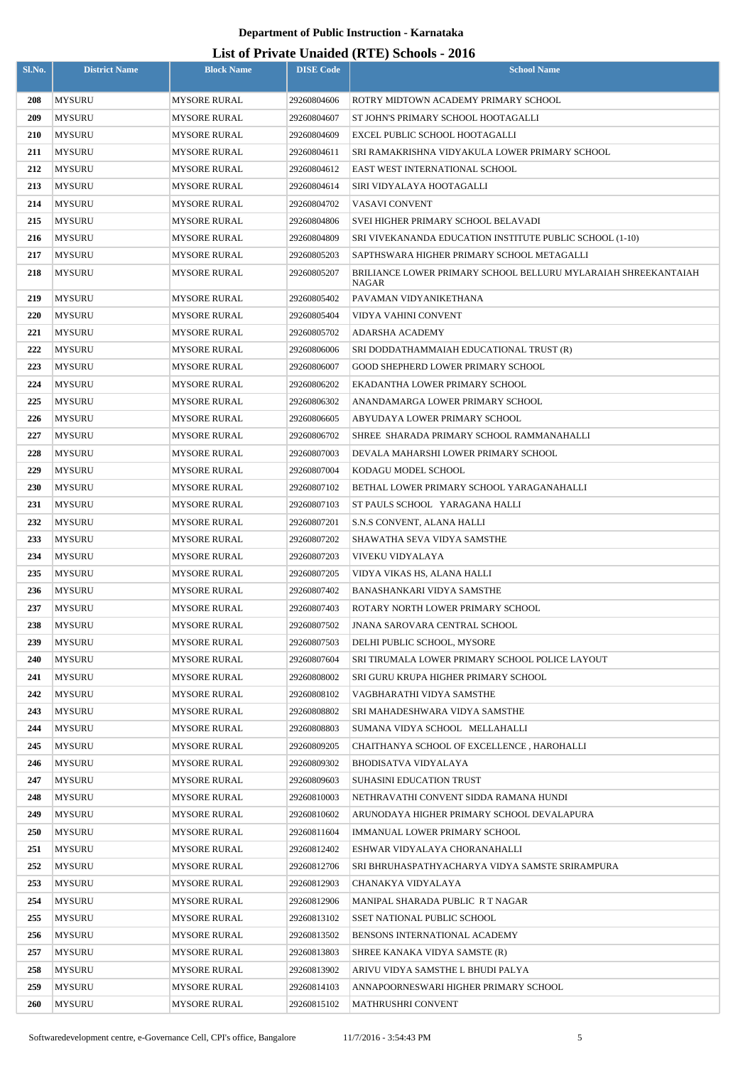| <b>MYSURU</b><br><b>MYSORE RURAL</b><br>29260804606<br>208<br>ROTRY MIDTOWN ACADEMY PRIMARY SCHOOL<br>209<br><b>MYSURU</b><br><b>MYSORE RURAL</b><br>29260804607<br>ST JOHN'S PRIMARY SCHOOL HOOTAGALLI<br>210<br>MYSURU<br>MYSORE RURAL<br>29260804609<br>EXCEL PUBLIC SCHOOL HOOTAGALLI<br>211<br><b>MYSURU</b><br>MYSORE RURAL<br>29260804611<br>SRI RAMAKRISHNA VIDYAKULA LOWER PRIMARY SCHOOL<br>212<br><b>MYSURU</b><br>MYSORE RURAL<br>29260804612<br>EAST WEST INTERNATIONAL SCHOOL<br>213<br><b>MYSURU</b><br><b>MYSORE RURAL</b><br>29260804614<br>SIRI VIDYALAYA HOOTAGALLI<br>214<br><b>MYSURU</b><br>VASAVI CONVENT<br>MYSORE RURAL<br>29260804702<br>215<br><b>MYSURU</b><br>MYSORE RURAL<br>29260804806<br>SVEI HIGHER PRIMARY SCHOOL BELAVADI<br>216<br><b>MYSURU</b><br>SRI VIVEKANANDA EDUCATION INSTITUTE PUBLIC SCHOOL (1-10)<br>MYSORE RURAL<br>29260804809<br>217<br><b>MYSURU</b><br>SAPTHSWARA HIGHER PRIMARY SCHOOL METAGALLI<br>MYSORE RURAL<br>29260805203<br>218<br><b>MYSURU</b><br>MYSORE RURAL<br>29260805207<br>BRILIANCE LOWER PRIMARY SCHOOL BELLURU MYLARAIAH SHREEKANTAIAH<br>NAGAR<br>219<br><b>MYSURU</b><br><b>MYSORE RURAL</b><br>29260805402<br>PAVAMAN VIDYANIKETHANA<br>220<br><b>MYSURU</b><br>MYSORE RURAL<br>29260805404<br>VIDYA VAHINI CONVENT<br>221<br><b>MYSURU</b><br>29260805702<br>MYSORE RURAL<br>ADARSHA ACADEMY<br>222<br><b>MYSURU</b><br>29260806006<br>MYSORE RURAL<br>SRI DODDATHAMMAIAH EDUCATIONAL TRUST (R)<br>223<br><b>MYSURU</b><br><b>MYSORE RURAL</b><br>29260806007<br>GOOD SHEPHERD LOWER PRIMARY SCHOOL<br>224<br><b>MYSURU</b><br>MYSORE RURAL<br>29260806202<br>EKADANTHA LOWER PRIMARY SCHOOL<br>225<br><b>MYSURU</b><br>MYSORE RURAL<br>29260806302<br>ANANDAMARGA LOWER PRIMARY SCHOOL<br>226<br><b>MYSURU</b><br>ABYUDAYA LOWER PRIMARY SCHOOL<br>MYSORE RURAL<br>29260806605<br>227<br><b>MYSURU</b><br>MYSORE RURAL<br>29260806702<br>SHREE SHARADA PRIMARY SCHOOL RAMMANAHALLI<br>228<br><b>MYSURU</b><br>MYSORE RURAL<br>29260807003<br>DEVALA MAHARSHI LOWER PRIMARY SCHOOL<br>229<br><b>MYSURU</b><br>KODAGU MODEL SCHOOL<br>MYSORE RURAL<br>29260807004<br>230<br><b>MYSURU</b><br>MYSORE RURAL<br>29260807102<br>BETHAL LOWER PRIMARY SCHOOL YARAGANAHALLI<br>231<br><b>MYSURU</b><br>29260807103<br>ST PAULS SCHOOL YARAGANA HALLI<br>MYSORE RURAL<br>232<br><b>MYSURU</b><br>MYSORE RURAL<br>29260807201<br>S.N.S CONVENT, ALANA HALLI<br>233<br><b>MYSURU</b><br><b>MYSORE RURAL</b><br>29260807202<br>SHAWATHA SEVA VIDYA SAMSTHE<br>234<br><b>MYSURU</b><br><b>MYSORE RURAL</b><br>29260807203<br>VIVEKU VIDYALAYA<br>235<br><b>MYSURU</b><br><b>MYSORE RURAL</b><br>29260807205<br>VIDYA VIKAS HS, ALANA HALLI<br><b>MYSURU</b><br>236<br><b>MYSORE RURAL</b><br>29260807402<br>BANASHANKARI VIDYA SAMSTHE<br>237<br><b>MYSURU</b><br><b>MYSORE RURAL</b><br>29260807403<br>ROTARY NORTH LOWER PRIMARY SCHOOL<br>238<br><b>MYSURU</b><br><b>MYSORE RURAL</b><br>29260807502<br>JNANA SAROVARA CENTRAL SCHOOL<br>239<br><b>MYSURU</b><br><b>MYSORE RURAL</b><br>29260807503<br>DELHI PUBLIC SCHOOL, MYSORE<br>240<br><b>MYSURU</b><br><b>MYSORE RURAL</b><br>29260807604<br>SRI TIRUMALA LOWER PRIMARY SCHOOL POLICE LAYOUT<br>241<br><b>MYSURU</b><br>29260808002<br>MYSORE RURAL<br>SRI GURU KRUPA HIGHER PRIMARY SCHOOL<br>242<br><b>MYSURU</b><br><b>MYSORE RURAL</b><br>29260808102<br>VAGBHARATHI VIDYA SAMSTHE<br>243<br><b>MYSURU</b><br><b>MYSORE RURAL</b><br>29260808802<br>SRI MAHADESHWARA VIDYA SAMSTHE<br>244<br>MYSURU<br>29260808803<br>MYSORE RURAL<br>SUMANA VIDYA SCHOOL MELLAHALLI<br>245<br><b>MYSURU</b><br><b>MYSORE RURAL</b><br>29260809205<br>CHAITHANYA SCHOOL OF EXCELLENCE, HAROHALLI<br>246<br>MYSURU<br><b>MYSORE RURAL</b><br>29260809302<br>BHODISATVA VIDYALAYA<br>247<br><b>MYSURU</b><br><b>MYSORE RURAL</b><br>29260809603<br><b>SUHASINI EDUCATION TRUST</b><br>248<br>MYSURU<br>MYSORE RURAL<br>29260810003<br>NETHRAVATHI CONVENT SIDDA RAMANA HUNDI<br>249<br><b>MYSURU</b><br><b>MYSORE RURAL</b><br>29260810602<br>ARUNODAYA HIGHER PRIMARY SCHOOL DEVALAPURA<br><b>250</b><br>MYSURU<br>MYSORE RURAL<br>29260811604<br>IMMANUAL LOWER PRIMARY SCHOOL<br>251<br><b>MYSURU</b><br><b>MYSORE RURAL</b><br>29260812402<br>ESHWAR VIDYALAYA CHORANAHALLI<br>252<br><b>MYSURU</b><br>MYSORE RURAL<br>29260812706<br>SRI BHRUHASPATHYACHARYA VIDYA SAMSTE SRIRAMPURA<br>253<br><b>MYSURU</b><br>MYSORE RURAL<br>29260812903<br>CHANAKYA VIDYALAYA<br>254<br>MYSURU<br><b>MYSORE RURAL</b><br>29260812906<br>MANIPAL SHARADA PUBLIC R T NAGAR<br>255<br><b>MYSURU</b><br><b>MYSORE RURAL</b><br>29260813102<br><b>SSET NATIONAL PUBLIC SCHOOL</b><br>256<br><b>MYSURU</b><br>MYSORE RURAL<br>29260813502<br>BENSONS INTERNATIONAL ACADEMY<br>257<br>MYSURU<br><b>MYSORE RURAL</b><br>29260813803<br>SHREE KANAKA VIDYA SAMSTE (R)<br>258<br>MYSURU<br><b>MYSORE RURAL</b><br>29260813902<br>ARIVU VIDYA SAMSTHE L BHUDI PALYA<br>259<br><b>MYSURU</b><br><b>MYSORE RURAL</b><br>29260814103<br>ANNAPOORNESWARI HIGHER PRIMARY SCHOOL<br><b>MYSURU</b><br>260<br><b>MYSORE RURAL</b><br>29260815102<br>MATHRUSHRI CONVENT | Sl.No. | <b>District Name</b> | <b>Block Name</b> | <b>DISE Code</b> | <b>School Name</b> |
|----------------------------------------------------------------------------------------------------------------------------------------------------------------------------------------------------------------------------------------------------------------------------------------------------------------------------------------------------------------------------------------------------------------------------------------------------------------------------------------------------------------------------------------------------------------------------------------------------------------------------------------------------------------------------------------------------------------------------------------------------------------------------------------------------------------------------------------------------------------------------------------------------------------------------------------------------------------------------------------------------------------------------------------------------------------------------------------------------------------------------------------------------------------------------------------------------------------------------------------------------------------------------------------------------------------------------------------------------------------------------------------------------------------------------------------------------------------------------------------------------------------------------------------------------------------------------------------------------------------------------------------------------------------------------------------------------------------------------------------------------------------------------------------------------------------------------------------------------------------------------------------------------------------------------------------------------------------------------------------------------------------------------------------------------------------------------------------------------------------------------------------------------------------------------------------------------------------------------------------------------------------------------------------------------------------------------------------------------------------------------------------------------------------------------------------------------------------------------------------------------------------------------------------------------------------------------------------------------------------------------------------------------------------------------------------------------------------------------------------------------------------------------------------------------------------------------------------------------------------------------------------------------------------------------------------------------------------------------------------------------------------------------------------------------------------------------------------------------------------------------------------------------------------------------------------------------------------------------------------------------------------------------------------------------------------------------------------------------------------------------------------------------------------------------------------------------------------------------------------------------------------------------------------------------------------------------------------------------------------------------------------------------------------------------------------------------------------------------------------------------------------------------------------------------------------------------------------------------------------------------------------------------------------------------------------------------------------------------------------------------------------------------------------------------------------------------------------------------------------------------------------------------------------------------------------------------------------------------------------------------------------------------------------------------------------------------------------------------------------------------------------------------------------------------------------------------------------------------------------------------------------------------------------------------------------------------------------------------------------------------------------------------------------------------------------------------------------------------------------------------------------------------------------------------------------------------------------------------------------------------------------------------------------------------------------------------------------------------------------------------------------------------------------------------------------------------------------------------------------------------------------------------------|--------|----------------------|-------------------|------------------|--------------------|
|                                                                                                                                                                                                                                                                                                                                                                                                                                                                                                                                                                                                                                                                                                                                                                                                                                                                                                                                                                                                                                                                                                                                                                                                                                                                                                                                                                                                                                                                                                                                                                                                                                                                                                                                                                                                                                                                                                                                                                                                                                                                                                                                                                                                                                                                                                                                                                                                                                                                                                                                                                                                                                                                                                                                                                                                                                                                                                                                                                                                                                                                                                                                                                                                                                                                                                                                                                                                                                                                                                                                                                                                                                                                                                                                                                                                                                                                                                                                                                                                                                                                                                                                                                                                                                                                                                                                                                                                                                                                                                                                                                                                                                                                                                                                                                                                                                                                                                                                                                                                                                                                                                                                                          |        |                      |                   |                  |                    |
|                                                                                                                                                                                                                                                                                                                                                                                                                                                                                                                                                                                                                                                                                                                                                                                                                                                                                                                                                                                                                                                                                                                                                                                                                                                                                                                                                                                                                                                                                                                                                                                                                                                                                                                                                                                                                                                                                                                                                                                                                                                                                                                                                                                                                                                                                                                                                                                                                                                                                                                                                                                                                                                                                                                                                                                                                                                                                                                                                                                                                                                                                                                                                                                                                                                                                                                                                                                                                                                                                                                                                                                                                                                                                                                                                                                                                                                                                                                                                                                                                                                                                                                                                                                                                                                                                                                                                                                                                                                                                                                                                                                                                                                                                                                                                                                                                                                                                                                                                                                                                                                                                                                                                          |        |                      |                   |                  |                    |
|                                                                                                                                                                                                                                                                                                                                                                                                                                                                                                                                                                                                                                                                                                                                                                                                                                                                                                                                                                                                                                                                                                                                                                                                                                                                                                                                                                                                                                                                                                                                                                                                                                                                                                                                                                                                                                                                                                                                                                                                                                                                                                                                                                                                                                                                                                                                                                                                                                                                                                                                                                                                                                                                                                                                                                                                                                                                                                                                                                                                                                                                                                                                                                                                                                                                                                                                                                                                                                                                                                                                                                                                                                                                                                                                                                                                                                                                                                                                                                                                                                                                                                                                                                                                                                                                                                                                                                                                                                                                                                                                                                                                                                                                                                                                                                                                                                                                                                                                                                                                                                                                                                                                                          |        |                      |                   |                  |                    |
|                                                                                                                                                                                                                                                                                                                                                                                                                                                                                                                                                                                                                                                                                                                                                                                                                                                                                                                                                                                                                                                                                                                                                                                                                                                                                                                                                                                                                                                                                                                                                                                                                                                                                                                                                                                                                                                                                                                                                                                                                                                                                                                                                                                                                                                                                                                                                                                                                                                                                                                                                                                                                                                                                                                                                                                                                                                                                                                                                                                                                                                                                                                                                                                                                                                                                                                                                                                                                                                                                                                                                                                                                                                                                                                                                                                                                                                                                                                                                                                                                                                                                                                                                                                                                                                                                                                                                                                                                                                                                                                                                                                                                                                                                                                                                                                                                                                                                                                                                                                                                                                                                                                                                          |        |                      |                   |                  |                    |
|                                                                                                                                                                                                                                                                                                                                                                                                                                                                                                                                                                                                                                                                                                                                                                                                                                                                                                                                                                                                                                                                                                                                                                                                                                                                                                                                                                                                                                                                                                                                                                                                                                                                                                                                                                                                                                                                                                                                                                                                                                                                                                                                                                                                                                                                                                                                                                                                                                                                                                                                                                                                                                                                                                                                                                                                                                                                                                                                                                                                                                                                                                                                                                                                                                                                                                                                                                                                                                                                                                                                                                                                                                                                                                                                                                                                                                                                                                                                                                                                                                                                                                                                                                                                                                                                                                                                                                                                                                                                                                                                                                                                                                                                                                                                                                                                                                                                                                                                                                                                                                                                                                                                                          |        |                      |                   |                  |                    |
|                                                                                                                                                                                                                                                                                                                                                                                                                                                                                                                                                                                                                                                                                                                                                                                                                                                                                                                                                                                                                                                                                                                                                                                                                                                                                                                                                                                                                                                                                                                                                                                                                                                                                                                                                                                                                                                                                                                                                                                                                                                                                                                                                                                                                                                                                                                                                                                                                                                                                                                                                                                                                                                                                                                                                                                                                                                                                                                                                                                                                                                                                                                                                                                                                                                                                                                                                                                                                                                                                                                                                                                                                                                                                                                                                                                                                                                                                                                                                                                                                                                                                                                                                                                                                                                                                                                                                                                                                                                                                                                                                                                                                                                                                                                                                                                                                                                                                                                                                                                                                                                                                                                                                          |        |                      |                   |                  |                    |
|                                                                                                                                                                                                                                                                                                                                                                                                                                                                                                                                                                                                                                                                                                                                                                                                                                                                                                                                                                                                                                                                                                                                                                                                                                                                                                                                                                                                                                                                                                                                                                                                                                                                                                                                                                                                                                                                                                                                                                                                                                                                                                                                                                                                                                                                                                                                                                                                                                                                                                                                                                                                                                                                                                                                                                                                                                                                                                                                                                                                                                                                                                                                                                                                                                                                                                                                                                                                                                                                                                                                                                                                                                                                                                                                                                                                                                                                                                                                                                                                                                                                                                                                                                                                                                                                                                                                                                                                                                                                                                                                                                                                                                                                                                                                                                                                                                                                                                                                                                                                                                                                                                                                                          |        |                      |                   |                  |                    |
|                                                                                                                                                                                                                                                                                                                                                                                                                                                                                                                                                                                                                                                                                                                                                                                                                                                                                                                                                                                                                                                                                                                                                                                                                                                                                                                                                                                                                                                                                                                                                                                                                                                                                                                                                                                                                                                                                                                                                                                                                                                                                                                                                                                                                                                                                                                                                                                                                                                                                                                                                                                                                                                                                                                                                                                                                                                                                                                                                                                                                                                                                                                                                                                                                                                                                                                                                                                                                                                                                                                                                                                                                                                                                                                                                                                                                                                                                                                                                                                                                                                                                                                                                                                                                                                                                                                                                                                                                                                                                                                                                                                                                                                                                                                                                                                                                                                                                                                                                                                                                                                                                                                                                          |        |                      |                   |                  |                    |
|                                                                                                                                                                                                                                                                                                                                                                                                                                                                                                                                                                                                                                                                                                                                                                                                                                                                                                                                                                                                                                                                                                                                                                                                                                                                                                                                                                                                                                                                                                                                                                                                                                                                                                                                                                                                                                                                                                                                                                                                                                                                                                                                                                                                                                                                                                                                                                                                                                                                                                                                                                                                                                                                                                                                                                                                                                                                                                                                                                                                                                                                                                                                                                                                                                                                                                                                                                                                                                                                                                                                                                                                                                                                                                                                                                                                                                                                                                                                                                                                                                                                                                                                                                                                                                                                                                                                                                                                                                                                                                                                                                                                                                                                                                                                                                                                                                                                                                                                                                                                                                                                                                                                                          |        |                      |                   |                  |                    |
|                                                                                                                                                                                                                                                                                                                                                                                                                                                                                                                                                                                                                                                                                                                                                                                                                                                                                                                                                                                                                                                                                                                                                                                                                                                                                                                                                                                                                                                                                                                                                                                                                                                                                                                                                                                                                                                                                                                                                                                                                                                                                                                                                                                                                                                                                                                                                                                                                                                                                                                                                                                                                                                                                                                                                                                                                                                                                                                                                                                                                                                                                                                                                                                                                                                                                                                                                                                                                                                                                                                                                                                                                                                                                                                                                                                                                                                                                                                                                                                                                                                                                                                                                                                                                                                                                                                                                                                                                                                                                                                                                                                                                                                                                                                                                                                                                                                                                                                                                                                                                                                                                                                                                          |        |                      |                   |                  |                    |
|                                                                                                                                                                                                                                                                                                                                                                                                                                                                                                                                                                                                                                                                                                                                                                                                                                                                                                                                                                                                                                                                                                                                                                                                                                                                                                                                                                                                                                                                                                                                                                                                                                                                                                                                                                                                                                                                                                                                                                                                                                                                                                                                                                                                                                                                                                                                                                                                                                                                                                                                                                                                                                                                                                                                                                                                                                                                                                                                                                                                                                                                                                                                                                                                                                                                                                                                                                                                                                                                                                                                                                                                                                                                                                                                                                                                                                                                                                                                                                                                                                                                                                                                                                                                                                                                                                                                                                                                                                                                                                                                                                                                                                                                                                                                                                                                                                                                                                                                                                                                                                                                                                                                                          |        |                      |                   |                  |                    |
|                                                                                                                                                                                                                                                                                                                                                                                                                                                                                                                                                                                                                                                                                                                                                                                                                                                                                                                                                                                                                                                                                                                                                                                                                                                                                                                                                                                                                                                                                                                                                                                                                                                                                                                                                                                                                                                                                                                                                                                                                                                                                                                                                                                                                                                                                                                                                                                                                                                                                                                                                                                                                                                                                                                                                                                                                                                                                                                                                                                                                                                                                                                                                                                                                                                                                                                                                                                                                                                                                                                                                                                                                                                                                                                                                                                                                                                                                                                                                                                                                                                                                                                                                                                                                                                                                                                                                                                                                                                                                                                                                                                                                                                                                                                                                                                                                                                                                                                                                                                                                                                                                                                                                          |        |                      |                   |                  |                    |
|                                                                                                                                                                                                                                                                                                                                                                                                                                                                                                                                                                                                                                                                                                                                                                                                                                                                                                                                                                                                                                                                                                                                                                                                                                                                                                                                                                                                                                                                                                                                                                                                                                                                                                                                                                                                                                                                                                                                                                                                                                                                                                                                                                                                                                                                                                                                                                                                                                                                                                                                                                                                                                                                                                                                                                                                                                                                                                                                                                                                                                                                                                                                                                                                                                                                                                                                                                                                                                                                                                                                                                                                                                                                                                                                                                                                                                                                                                                                                                                                                                                                                                                                                                                                                                                                                                                                                                                                                                                                                                                                                                                                                                                                                                                                                                                                                                                                                                                                                                                                                                                                                                                                                          |        |                      |                   |                  |                    |
|                                                                                                                                                                                                                                                                                                                                                                                                                                                                                                                                                                                                                                                                                                                                                                                                                                                                                                                                                                                                                                                                                                                                                                                                                                                                                                                                                                                                                                                                                                                                                                                                                                                                                                                                                                                                                                                                                                                                                                                                                                                                                                                                                                                                                                                                                                                                                                                                                                                                                                                                                                                                                                                                                                                                                                                                                                                                                                                                                                                                                                                                                                                                                                                                                                                                                                                                                                                                                                                                                                                                                                                                                                                                                                                                                                                                                                                                                                                                                                                                                                                                                                                                                                                                                                                                                                                                                                                                                                                                                                                                                                                                                                                                                                                                                                                                                                                                                                                                                                                                                                                                                                                                                          |        |                      |                   |                  |                    |
|                                                                                                                                                                                                                                                                                                                                                                                                                                                                                                                                                                                                                                                                                                                                                                                                                                                                                                                                                                                                                                                                                                                                                                                                                                                                                                                                                                                                                                                                                                                                                                                                                                                                                                                                                                                                                                                                                                                                                                                                                                                                                                                                                                                                                                                                                                                                                                                                                                                                                                                                                                                                                                                                                                                                                                                                                                                                                                                                                                                                                                                                                                                                                                                                                                                                                                                                                                                                                                                                                                                                                                                                                                                                                                                                                                                                                                                                                                                                                                                                                                                                                                                                                                                                                                                                                                                                                                                                                                                                                                                                                                                                                                                                                                                                                                                                                                                                                                                                                                                                                                                                                                                                                          |        |                      |                   |                  |                    |
|                                                                                                                                                                                                                                                                                                                                                                                                                                                                                                                                                                                                                                                                                                                                                                                                                                                                                                                                                                                                                                                                                                                                                                                                                                                                                                                                                                                                                                                                                                                                                                                                                                                                                                                                                                                                                                                                                                                                                                                                                                                                                                                                                                                                                                                                                                                                                                                                                                                                                                                                                                                                                                                                                                                                                                                                                                                                                                                                                                                                                                                                                                                                                                                                                                                                                                                                                                                                                                                                                                                                                                                                                                                                                                                                                                                                                                                                                                                                                                                                                                                                                                                                                                                                                                                                                                                                                                                                                                                                                                                                                                                                                                                                                                                                                                                                                                                                                                                                                                                                                                                                                                                                                          |        |                      |                   |                  |                    |
|                                                                                                                                                                                                                                                                                                                                                                                                                                                                                                                                                                                                                                                                                                                                                                                                                                                                                                                                                                                                                                                                                                                                                                                                                                                                                                                                                                                                                                                                                                                                                                                                                                                                                                                                                                                                                                                                                                                                                                                                                                                                                                                                                                                                                                                                                                                                                                                                                                                                                                                                                                                                                                                                                                                                                                                                                                                                                                                                                                                                                                                                                                                                                                                                                                                                                                                                                                                                                                                                                                                                                                                                                                                                                                                                                                                                                                                                                                                                                                                                                                                                                                                                                                                                                                                                                                                                                                                                                                                                                                                                                                                                                                                                                                                                                                                                                                                                                                                                                                                                                                                                                                                                                          |        |                      |                   |                  |                    |
|                                                                                                                                                                                                                                                                                                                                                                                                                                                                                                                                                                                                                                                                                                                                                                                                                                                                                                                                                                                                                                                                                                                                                                                                                                                                                                                                                                                                                                                                                                                                                                                                                                                                                                                                                                                                                                                                                                                                                                                                                                                                                                                                                                                                                                                                                                                                                                                                                                                                                                                                                                                                                                                                                                                                                                                                                                                                                                                                                                                                                                                                                                                                                                                                                                                                                                                                                                                                                                                                                                                                                                                                                                                                                                                                                                                                                                                                                                                                                                                                                                                                                                                                                                                                                                                                                                                                                                                                                                                                                                                                                                                                                                                                                                                                                                                                                                                                                                                                                                                                                                                                                                                                                          |        |                      |                   |                  |                    |
|                                                                                                                                                                                                                                                                                                                                                                                                                                                                                                                                                                                                                                                                                                                                                                                                                                                                                                                                                                                                                                                                                                                                                                                                                                                                                                                                                                                                                                                                                                                                                                                                                                                                                                                                                                                                                                                                                                                                                                                                                                                                                                                                                                                                                                                                                                                                                                                                                                                                                                                                                                                                                                                                                                                                                                                                                                                                                                                                                                                                                                                                                                                                                                                                                                                                                                                                                                                                                                                                                                                                                                                                                                                                                                                                                                                                                                                                                                                                                                                                                                                                                                                                                                                                                                                                                                                                                                                                                                                                                                                                                                                                                                                                                                                                                                                                                                                                                                                                                                                                                                                                                                                                                          |        |                      |                   |                  |                    |
|                                                                                                                                                                                                                                                                                                                                                                                                                                                                                                                                                                                                                                                                                                                                                                                                                                                                                                                                                                                                                                                                                                                                                                                                                                                                                                                                                                                                                                                                                                                                                                                                                                                                                                                                                                                                                                                                                                                                                                                                                                                                                                                                                                                                                                                                                                                                                                                                                                                                                                                                                                                                                                                                                                                                                                                                                                                                                                                                                                                                                                                                                                                                                                                                                                                                                                                                                                                                                                                                                                                                                                                                                                                                                                                                                                                                                                                                                                                                                                                                                                                                                                                                                                                                                                                                                                                                                                                                                                                                                                                                                                                                                                                                                                                                                                                                                                                                                                                                                                                                                                                                                                                                                          |        |                      |                   |                  |                    |
|                                                                                                                                                                                                                                                                                                                                                                                                                                                                                                                                                                                                                                                                                                                                                                                                                                                                                                                                                                                                                                                                                                                                                                                                                                                                                                                                                                                                                                                                                                                                                                                                                                                                                                                                                                                                                                                                                                                                                                                                                                                                                                                                                                                                                                                                                                                                                                                                                                                                                                                                                                                                                                                                                                                                                                                                                                                                                                                                                                                                                                                                                                                                                                                                                                                                                                                                                                                                                                                                                                                                                                                                                                                                                                                                                                                                                                                                                                                                                                                                                                                                                                                                                                                                                                                                                                                                                                                                                                                                                                                                                                                                                                                                                                                                                                                                                                                                                                                                                                                                                                                                                                                                                          |        |                      |                   |                  |                    |
|                                                                                                                                                                                                                                                                                                                                                                                                                                                                                                                                                                                                                                                                                                                                                                                                                                                                                                                                                                                                                                                                                                                                                                                                                                                                                                                                                                                                                                                                                                                                                                                                                                                                                                                                                                                                                                                                                                                                                                                                                                                                                                                                                                                                                                                                                                                                                                                                                                                                                                                                                                                                                                                                                                                                                                                                                                                                                                                                                                                                                                                                                                                                                                                                                                                                                                                                                                                                                                                                                                                                                                                                                                                                                                                                                                                                                                                                                                                                                                                                                                                                                                                                                                                                                                                                                                                                                                                                                                                                                                                                                                                                                                                                                                                                                                                                                                                                                                                                                                                                                                                                                                                                                          |        |                      |                   |                  |                    |
|                                                                                                                                                                                                                                                                                                                                                                                                                                                                                                                                                                                                                                                                                                                                                                                                                                                                                                                                                                                                                                                                                                                                                                                                                                                                                                                                                                                                                                                                                                                                                                                                                                                                                                                                                                                                                                                                                                                                                                                                                                                                                                                                                                                                                                                                                                                                                                                                                                                                                                                                                                                                                                                                                                                                                                                                                                                                                                                                                                                                                                                                                                                                                                                                                                                                                                                                                                                                                                                                                                                                                                                                                                                                                                                                                                                                                                                                                                                                                                                                                                                                                                                                                                                                                                                                                                                                                                                                                                                                                                                                                                                                                                                                                                                                                                                                                                                                                                                                                                                                                                                                                                                                                          |        |                      |                   |                  |                    |
|                                                                                                                                                                                                                                                                                                                                                                                                                                                                                                                                                                                                                                                                                                                                                                                                                                                                                                                                                                                                                                                                                                                                                                                                                                                                                                                                                                                                                                                                                                                                                                                                                                                                                                                                                                                                                                                                                                                                                                                                                                                                                                                                                                                                                                                                                                                                                                                                                                                                                                                                                                                                                                                                                                                                                                                                                                                                                                                                                                                                                                                                                                                                                                                                                                                                                                                                                                                                                                                                                                                                                                                                                                                                                                                                                                                                                                                                                                                                                                                                                                                                                                                                                                                                                                                                                                                                                                                                                                                                                                                                                                                                                                                                                                                                                                                                                                                                                                                                                                                                                                                                                                                                                          |        |                      |                   |                  |                    |
|                                                                                                                                                                                                                                                                                                                                                                                                                                                                                                                                                                                                                                                                                                                                                                                                                                                                                                                                                                                                                                                                                                                                                                                                                                                                                                                                                                                                                                                                                                                                                                                                                                                                                                                                                                                                                                                                                                                                                                                                                                                                                                                                                                                                                                                                                                                                                                                                                                                                                                                                                                                                                                                                                                                                                                                                                                                                                                                                                                                                                                                                                                                                                                                                                                                                                                                                                                                                                                                                                                                                                                                                                                                                                                                                                                                                                                                                                                                                                                                                                                                                                                                                                                                                                                                                                                                                                                                                                                                                                                                                                                                                                                                                                                                                                                                                                                                                                                                                                                                                                                                                                                                                                          |        |                      |                   |                  |                    |
|                                                                                                                                                                                                                                                                                                                                                                                                                                                                                                                                                                                                                                                                                                                                                                                                                                                                                                                                                                                                                                                                                                                                                                                                                                                                                                                                                                                                                                                                                                                                                                                                                                                                                                                                                                                                                                                                                                                                                                                                                                                                                                                                                                                                                                                                                                                                                                                                                                                                                                                                                                                                                                                                                                                                                                                                                                                                                                                                                                                                                                                                                                                                                                                                                                                                                                                                                                                                                                                                                                                                                                                                                                                                                                                                                                                                                                                                                                                                                                                                                                                                                                                                                                                                                                                                                                                                                                                                                                                                                                                                                                                                                                                                                                                                                                                                                                                                                                                                                                                                                                                                                                                                                          |        |                      |                   |                  |                    |
|                                                                                                                                                                                                                                                                                                                                                                                                                                                                                                                                                                                                                                                                                                                                                                                                                                                                                                                                                                                                                                                                                                                                                                                                                                                                                                                                                                                                                                                                                                                                                                                                                                                                                                                                                                                                                                                                                                                                                                                                                                                                                                                                                                                                                                                                                                                                                                                                                                                                                                                                                                                                                                                                                                                                                                                                                                                                                                                                                                                                                                                                                                                                                                                                                                                                                                                                                                                                                                                                                                                                                                                                                                                                                                                                                                                                                                                                                                                                                                                                                                                                                                                                                                                                                                                                                                                                                                                                                                                                                                                                                                                                                                                                                                                                                                                                                                                                                                                                                                                                                                                                                                                                                          |        |                      |                   |                  |                    |
|                                                                                                                                                                                                                                                                                                                                                                                                                                                                                                                                                                                                                                                                                                                                                                                                                                                                                                                                                                                                                                                                                                                                                                                                                                                                                                                                                                                                                                                                                                                                                                                                                                                                                                                                                                                                                                                                                                                                                                                                                                                                                                                                                                                                                                                                                                                                                                                                                                                                                                                                                                                                                                                                                                                                                                                                                                                                                                                                                                                                                                                                                                                                                                                                                                                                                                                                                                                                                                                                                                                                                                                                                                                                                                                                                                                                                                                                                                                                                                                                                                                                                                                                                                                                                                                                                                                                                                                                                                                                                                                                                                                                                                                                                                                                                                                                                                                                                                                                                                                                                                                                                                                                                          |        |                      |                   |                  |                    |
|                                                                                                                                                                                                                                                                                                                                                                                                                                                                                                                                                                                                                                                                                                                                                                                                                                                                                                                                                                                                                                                                                                                                                                                                                                                                                                                                                                                                                                                                                                                                                                                                                                                                                                                                                                                                                                                                                                                                                                                                                                                                                                                                                                                                                                                                                                                                                                                                                                                                                                                                                                                                                                                                                                                                                                                                                                                                                                                                                                                                                                                                                                                                                                                                                                                                                                                                                                                                                                                                                                                                                                                                                                                                                                                                                                                                                                                                                                                                                                                                                                                                                                                                                                                                                                                                                                                                                                                                                                                                                                                                                                                                                                                                                                                                                                                                                                                                                                                                                                                                                                                                                                                                                          |        |                      |                   |                  |                    |
|                                                                                                                                                                                                                                                                                                                                                                                                                                                                                                                                                                                                                                                                                                                                                                                                                                                                                                                                                                                                                                                                                                                                                                                                                                                                                                                                                                                                                                                                                                                                                                                                                                                                                                                                                                                                                                                                                                                                                                                                                                                                                                                                                                                                                                                                                                                                                                                                                                                                                                                                                                                                                                                                                                                                                                                                                                                                                                                                                                                                                                                                                                                                                                                                                                                                                                                                                                                                                                                                                                                                                                                                                                                                                                                                                                                                                                                                                                                                                                                                                                                                                                                                                                                                                                                                                                                                                                                                                                                                                                                                                                                                                                                                                                                                                                                                                                                                                                                                                                                                                                                                                                                                                          |        |                      |                   |                  |                    |
|                                                                                                                                                                                                                                                                                                                                                                                                                                                                                                                                                                                                                                                                                                                                                                                                                                                                                                                                                                                                                                                                                                                                                                                                                                                                                                                                                                                                                                                                                                                                                                                                                                                                                                                                                                                                                                                                                                                                                                                                                                                                                                                                                                                                                                                                                                                                                                                                                                                                                                                                                                                                                                                                                                                                                                                                                                                                                                                                                                                                                                                                                                                                                                                                                                                                                                                                                                                                                                                                                                                                                                                                                                                                                                                                                                                                                                                                                                                                                                                                                                                                                                                                                                                                                                                                                                                                                                                                                                                                                                                                                                                                                                                                                                                                                                                                                                                                                                                                                                                                                                                                                                                                                          |        |                      |                   |                  |                    |
|                                                                                                                                                                                                                                                                                                                                                                                                                                                                                                                                                                                                                                                                                                                                                                                                                                                                                                                                                                                                                                                                                                                                                                                                                                                                                                                                                                                                                                                                                                                                                                                                                                                                                                                                                                                                                                                                                                                                                                                                                                                                                                                                                                                                                                                                                                                                                                                                                                                                                                                                                                                                                                                                                                                                                                                                                                                                                                                                                                                                                                                                                                                                                                                                                                                                                                                                                                                                                                                                                                                                                                                                                                                                                                                                                                                                                                                                                                                                                                                                                                                                                                                                                                                                                                                                                                                                                                                                                                                                                                                                                                                                                                                                                                                                                                                                                                                                                                                                                                                                                                                                                                                                                          |        |                      |                   |                  |                    |
|                                                                                                                                                                                                                                                                                                                                                                                                                                                                                                                                                                                                                                                                                                                                                                                                                                                                                                                                                                                                                                                                                                                                                                                                                                                                                                                                                                                                                                                                                                                                                                                                                                                                                                                                                                                                                                                                                                                                                                                                                                                                                                                                                                                                                                                                                                                                                                                                                                                                                                                                                                                                                                                                                                                                                                                                                                                                                                                                                                                                                                                                                                                                                                                                                                                                                                                                                                                                                                                                                                                                                                                                                                                                                                                                                                                                                                                                                                                                                                                                                                                                                                                                                                                                                                                                                                                                                                                                                                                                                                                                                                                                                                                                                                                                                                                                                                                                                                                                                                                                                                                                                                                                                          |        |                      |                   |                  |                    |
|                                                                                                                                                                                                                                                                                                                                                                                                                                                                                                                                                                                                                                                                                                                                                                                                                                                                                                                                                                                                                                                                                                                                                                                                                                                                                                                                                                                                                                                                                                                                                                                                                                                                                                                                                                                                                                                                                                                                                                                                                                                                                                                                                                                                                                                                                                                                                                                                                                                                                                                                                                                                                                                                                                                                                                                                                                                                                                                                                                                                                                                                                                                                                                                                                                                                                                                                                                                                                                                                                                                                                                                                                                                                                                                                                                                                                                                                                                                                                                                                                                                                                                                                                                                                                                                                                                                                                                                                                                                                                                                                                                                                                                                                                                                                                                                                                                                                                                                                                                                                                                                                                                                                                          |        |                      |                   |                  |                    |
|                                                                                                                                                                                                                                                                                                                                                                                                                                                                                                                                                                                                                                                                                                                                                                                                                                                                                                                                                                                                                                                                                                                                                                                                                                                                                                                                                                                                                                                                                                                                                                                                                                                                                                                                                                                                                                                                                                                                                                                                                                                                                                                                                                                                                                                                                                                                                                                                                                                                                                                                                                                                                                                                                                                                                                                                                                                                                                                                                                                                                                                                                                                                                                                                                                                                                                                                                                                                                                                                                                                                                                                                                                                                                                                                                                                                                                                                                                                                                                                                                                                                                                                                                                                                                                                                                                                                                                                                                                                                                                                                                                                                                                                                                                                                                                                                                                                                                                                                                                                                                                                                                                                                                          |        |                      |                   |                  |                    |
|                                                                                                                                                                                                                                                                                                                                                                                                                                                                                                                                                                                                                                                                                                                                                                                                                                                                                                                                                                                                                                                                                                                                                                                                                                                                                                                                                                                                                                                                                                                                                                                                                                                                                                                                                                                                                                                                                                                                                                                                                                                                                                                                                                                                                                                                                                                                                                                                                                                                                                                                                                                                                                                                                                                                                                                                                                                                                                                                                                                                                                                                                                                                                                                                                                                                                                                                                                                                                                                                                                                                                                                                                                                                                                                                                                                                                                                                                                                                                                                                                                                                                                                                                                                                                                                                                                                                                                                                                                                                                                                                                                                                                                                                                                                                                                                                                                                                                                                                                                                                                                                                                                                                                          |        |                      |                   |                  |                    |
|                                                                                                                                                                                                                                                                                                                                                                                                                                                                                                                                                                                                                                                                                                                                                                                                                                                                                                                                                                                                                                                                                                                                                                                                                                                                                                                                                                                                                                                                                                                                                                                                                                                                                                                                                                                                                                                                                                                                                                                                                                                                                                                                                                                                                                                                                                                                                                                                                                                                                                                                                                                                                                                                                                                                                                                                                                                                                                                                                                                                                                                                                                                                                                                                                                                                                                                                                                                                                                                                                                                                                                                                                                                                                                                                                                                                                                                                                                                                                                                                                                                                                                                                                                                                                                                                                                                                                                                                                                                                                                                                                                                                                                                                                                                                                                                                                                                                                                                                                                                                                                                                                                                                                          |        |                      |                   |                  |                    |
|                                                                                                                                                                                                                                                                                                                                                                                                                                                                                                                                                                                                                                                                                                                                                                                                                                                                                                                                                                                                                                                                                                                                                                                                                                                                                                                                                                                                                                                                                                                                                                                                                                                                                                                                                                                                                                                                                                                                                                                                                                                                                                                                                                                                                                                                                                                                                                                                                                                                                                                                                                                                                                                                                                                                                                                                                                                                                                                                                                                                                                                                                                                                                                                                                                                                                                                                                                                                                                                                                                                                                                                                                                                                                                                                                                                                                                                                                                                                                                                                                                                                                                                                                                                                                                                                                                                                                                                                                                                                                                                                                                                                                                                                                                                                                                                                                                                                                                                                                                                                                                                                                                                                                          |        |                      |                   |                  |                    |
|                                                                                                                                                                                                                                                                                                                                                                                                                                                                                                                                                                                                                                                                                                                                                                                                                                                                                                                                                                                                                                                                                                                                                                                                                                                                                                                                                                                                                                                                                                                                                                                                                                                                                                                                                                                                                                                                                                                                                                                                                                                                                                                                                                                                                                                                                                                                                                                                                                                                                                                                                                                                                                                                                                                                                                                                                                                                                                                                                                                                                                                                                                                                                                                                                                                                                                                                                                                                                                                                                                                                                                                                                                                                                                                                                                                                                                                                                                                                                                                                                                                                                                                                                                                                                                                                                                                                                                                                                                                                                                                                                                                                                                                                                                                                                                                                                                                                                                                                                                                                                                                                                                                                                          |        |                      |                   |                  |                    |
|                                                                                                                                                                                                                                                                                                                                                                                                                                                                                                                                                                                                                                                                                                                                                                                                                                                                                                                                                                                                                                                                                                                                                                                                                                                                                                                                                                                                                                                                                                                                                                                                                                                                                                                                                                                                                                                                                                                                                                                                                                                                                                                                                                                                                                                                                                                                                                                                                                                                                                                                                                                                                                                                                                                                                                                                                                                                                                                                                                                                                                                                                                                                                                                                                                                                                                                                                                                                                                                                                                                                                                                                                                                                                                                                                                                                                                                                                                                                                                                                                                                                                                                                                                                                                                                                                                                                                                                                                                                                                                                                                                                                                                                                                                                                                                                                                                                                                                                                                                                                                                                                                                                                                          |        |                      |                   |                  |                    |
|                                                                                                                                                                                                                                                                                                                                                                                                                                                                                                                                                                                                                                                                                                                                                                                                                                                                                                                                                                                                                                                                                                                                                                                                                                                                                                                                                                                                                                                                                                                                                                                                                                                                                                                                                                                                                                                                                                                                                                                                                                                                                                                                                                                                                                                                                                                                                                                                                                                                                                                                                                                                                                                                                                                                                                                                                                                                                                                                                                                                                                                                                                                                                                                                                                                                                                                                                                                                                                                                                                                                                                                                                                                                                                                                                                                                                                                                                                                                                                                                                                                                                                                                                                                                                                                                                                                                                                                                                                                                                                                                                                                                                                                                                                                                                                                                                                                                                                                                                                                                                                                                                                                                                          |        |                      |                   |                  |                    |
|                                                                                                                                                                                                                                                                                                                                                                                                                                                                                                                                                                                                                                                                                                                                                                                                                                                                                                                                                                                                                                                                                                                                                                                                                                                                                                                                                                                                                                                                                                                                                                                                                                                                                                                                                                                                                                                                                                                                                                                                                                                                                                                                                                                                                                                                                                                                                                                                                                                                                                                                                                                                                                                                                                                                                                                                                                                                                                                                                                                                                                                                                                                                                                                                                                                                                                                                                                                                                                                                                                                                                                                                                                                                                                                                                                                                                                                                                                                                                                                                                                                                                                                                                                                                                                                                                                                                                                                                                                                                                                                                                                                                                                                                                                                                                                                                                                                                                                                                                                                                                                                                                                                                                          |        |                      |                   |                  |                    |
|                                                                                                                                                                                                                                                                                                                                                                                                                                                                                                                                                                                                                                                                                                                                                                                                                                                                                                                                                                                                                                                                                                                                                                                                                                                                                                                                                                                                                                                                                                                                                                                                                                                                                                                                                                                                                                                                                                                                                                                                                                                                                                                                                                                                                                                                                                                                                                                                                                                                                                                                                                                                                                                                                                                                                                                                                                                                                                                                                                                                                                                                                                                                                                                                                                                                                                                                                                                                                                                                                                                                                                                                                                                                                                                                                                                                                                                                                                                                                                                                                                                                                                                                                                                                                                                                                                                                                                                                                                                                                                                                                                                                                                                                                                                                                                                                                                                                                                                                                                                                                                                                                                                                                          |        |                      |                   |                  |                    |
|                                                                                                                                                                                                                                                                                                                                                                                                                                                                                                                                                                                                                                                                                                                                                                                                                                                                                                                                                                                                                                                                                                                                                                                                                                                                                                                                                                                                                                                                                                                                                                                                                                                                                                                                                                                                                                                                                                                                                                                                                                                                                                                                                                                                                                                                                                                                                                                                                                                                                                                                                                                                                                                                                                                                                                                                                                                                                                                                                                                                                                                                                                                                                                                                                                                                                                                                                                                                                                                                                                                                                                                                                                                                                                                                                                                                                                                                                                                                                                                                                                                                                                                                                                                                                                                                                                                                                                                                                                                                                                                                                                                                                                                                                                                                                                                                                                                                                                                                                                                                                                                                                                                                                          |        |                      |                   |                  |                    |
|                                                                                                                                                                                                                                                                                                                                                                                                                                                                                                                                                                                                                                                                                                                                                                                                                                                                                                                                                                                                                                                                                                                                                                                                                                                                                                                                                                                                                                                                                                                                                                                                                                                                                                                                                                                                                                                                                                                                                                                                                                                                                                                                                                                                                                                                                                                                                                                                                                                                                                                                                                                                                                                                                                                                                                                                                                                                                                                                                                                                                                                                                                                                                                                                                                                                                                                                                                                                                                                                                                                                                                                                                                                                                                                                                                                                                                                                                                                                                                                                                                                                                                                                                                                                                                                                                                                                                                                                                                                                                                                                                                                                                                                                                                                                                                                                                                                                                                                                                                                                                                                                                                                                                          |        |                      |                   |                  |                    |
|                                                                                                                                                                                                                                                                                                                                                                                                                                                                                                                                                                                                                                                                                                                                                                                                                                                                                                                                                                                                                                                                                                                                                                                                                                                                                                                                                                                                                                                                                                                                                                                                                                                                                                                                                                                                                                                                                                                                                                                                                                                                                                                                                                                                                                                                                                                                                                                                                                                                                                                                                                                                                                                                                                                                                                                                                                                                                                                                                                                                                                                                                                                                                                                                                                                                                                                                                                                                                                                                                                                                                                                                                                                                                                                                                                                                                                                                                                                                                                                                                                                                                                                                                                                                                                                                                                                                                                                                                                                                                                                                                                                                                                                                                                                                                                                                                                                                                                                                                                                                                                                                                                                                                          |        |                      |                   |                  |                    |
|                                                                                                                                                                                                                                                                                                                                                                                                                                                                                                                                                                                                                                                                                                                                                                                                                                                                                                                                                                                                                                                                                                                                                                                                                                                                                                                                                                                                                                                                                                                                                                                                                                                                                                                                                                                                                                                                                                                                                                                                                                                                                                                                                                                                                                                                                                                                                                                                                                                                                                                                                                                                                                                                                                                                                                                                                                                                                                                                                                                                                                                                                                                                                                                                                                                                                                                                                                                                                                                                                                                                                                                                                                                                                                                                                                                                                                                                                                                                                                                                                                                                                                                                                                                                                                                                                                                                                                                                                                                                                                                                                                                                                                                                                                                                                                                                                                                                                                                                                                                                                                                                                                                                                          |        |                      |                   |                  |                    |
|                                                                                                                                                                                                                                                                                                                                                                                                                                                                                                                                                                                                                                                                                                                                                                                                                                                                                                                                                                                                                                                                                                                                                                                                                                                                                                                                                                                                                                                                                                                                                                                                                                                                                                                                                                                                                                                                                                                                                                                                                                                                                                                                                                                                                                                                                                                                                                                                                                                                                                                                                                                                                                                                                                                                                                                                                                                                                                                                                                                                                                                                                                                                                                                                                                                                                                                                                                                                                                                                                                                                                                                                                                                                                                                                                                                                                                                                                                                                                                                                                                                                                                                                                                                                                                                                                                                                                                                                                                                                                                                                                                                                                                                                                                                                                                                                                                                                                                                                                                                                                                                                                                                                                          |        |                      |                   |                  |                    |
|                                                                                                                                                                                                                                                                                                                                                                                                                                                                                                                                                                                                                                                                                                                                                                                                                                                                                                                                                                                                                                                                                                                                                                                                                                                                                                                                                                                                                                                                                                                                                                                                                                                                                                                                                                                                                                                                                                                                                                                                                                                                                                                                                                                                                                                                                                                                                                                                                                                                                                                                                                                                                                                                                                                                                                                                                                                                                                                                                                                                                                                                                                                                                                                                                                                                                                                                                                                                                                                                                                                                                                                                                                                                                                                                                                                                                                                                                                                                                                                                                                                                                                                                                                                                                                                                                                                                                                                                                                                                                                                                                                                                                                                                                                                                                                                                                                                                                                                                                                                                                                                                                                                                                          |        |                      |                   |                  |                    |
|                                                                                                                                                                                                                                                                                                                                                                                                                                                                                                                                                                                                                                                                                                                                                                                                                                                                                                                                                                                                                                                                                                                                                                                                                                                                                                                                                                                                                                                                                                                                                                                                                                                                                                                                                                                                                                                                                                                                                                                                                                                                                                                                                                                                                                                                                                                                                                                                                                                                                                                                                                                                                                                                                                                                                                                                                                                                                                                                                                                                                                                                                                                                                                                                                                                                                                                                                                                                                                                                                                                                                                                                                                                                                                                                                                                                                                                                                                                                                                                                                                                                                                                                                                                                                                                                                                                                                                                                                                                                                                                                                                                                                                                                                                                                                                                                                                                                                                                                                                                                                                                                                                                                                          |        |                      |                   |                  |                    |
|                                                                                                                                                                                                                                                                                                                                                                                                                                                                                                                                                                                                                                                                                                                                                                                                                                                                                                                                                                                                                                                                                                                                                                                                                                                                                                                                                                                                                                                                                                                                                                                                                                                                                                                                                                                                                                                                                                                                                                                                                                                                                                                                                                                                                                                                                                                                                                                                                                                                                                                                                                                                                                                                                                                                                                                                                                                                                                                                                                                                                                                                                                                                                                                                                                                                                                                                                                                                                                                                                                                                                                                                                                                                                                                                                                                                                                                                                                                                                                                                                                                                                                                                                                                                                                                                                                                                                                                                                                                                                                                                                                                                                                                                                                                                                                                                                                                                                                                                                                                                                                                                                                                                                          |        |                      |                   |                  |                    |
|                                                                                                                                                                                                                                                                                                                                                                                                                                                                                                                                                                                                                                                                                                                                                                                                                                                                                                                                                                                                                                                                                                                                                                                                                                                                                                                                                                                                                                                                                                                                                                                                                                                                                                                                                                                                                                                                                                                                                                                                                                                                                                                                                                                                                                                                                                                                                                                                                                                                                                                                                                                                                                                                                                                                                                                                                                                                                                                                                                                                                                                                                                                                                                                                                                                                                                                                                                                                                                                                                                                                                                                                                                                                                                                                                                                                                                                                                                                                                                                                                                                                                                                                                                                                                                                                                                                                                                                                                                                                                                                                                                                                                                                                                                                                                                                                                                                                                                                                                                                                                                                                                                                                                          |        |                      |                   |                  |                    |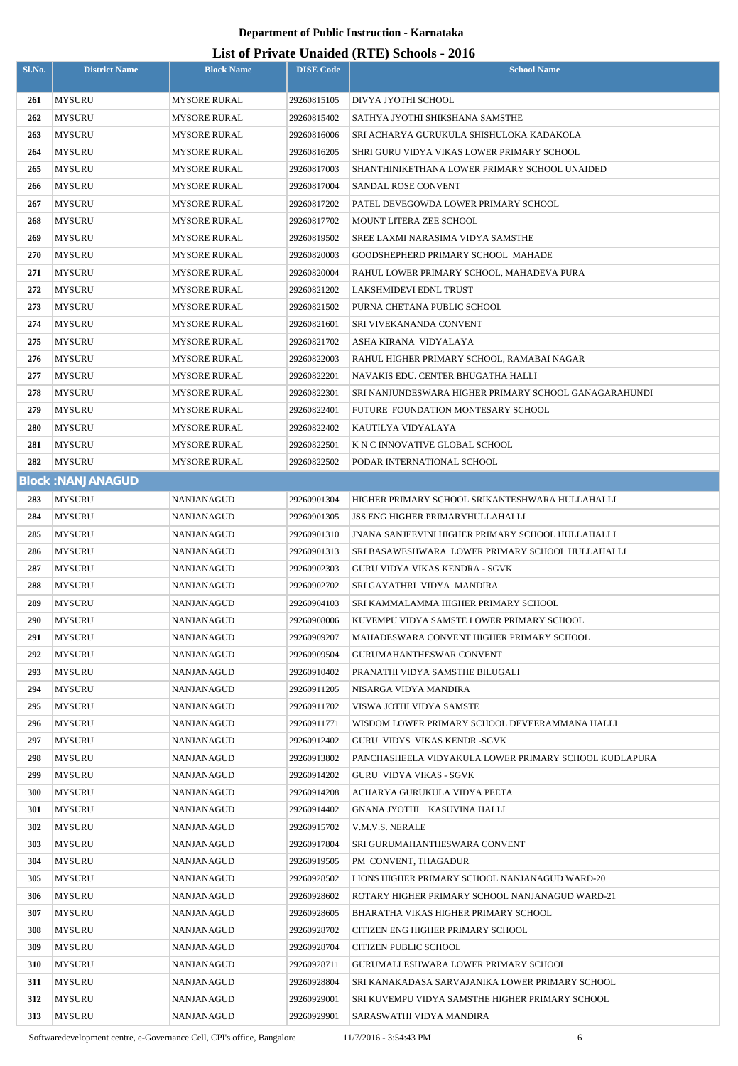# **List of Private Unaided (RTE) Schools - 2016**

| Sl.No.     | <b>District Name</b>     | <b>Block Name</b> | <b>DISE Code</b> | $\mu$ <sub>15</sub> of T <sub>H</sub> <sup>n</sup> and Unanuel (IVIII) behoofs $\mu$ <sub>010</sub><br><b>School Name</b> |
|------------|--------------------------|-------------------|------------------|---------------------------------------------------------------------------------------------------------------------------|
| 261        | <b>MYSURU</b>            | MYSORE RURAL      | 29260815105      | DIVYA JYOTHI SCHOOL                                                                                                       |
| 262        | MYSURU                   | MYSORE RURAL      | 29260815402      | SATHYA JYOTHI SHIKSHANA SAMSTHE                                                                                           |
| 263        | MYSURU                   | MYSORE RURAL      | 29260816006      | SRI ACHARYA GURUKULA SHISHULOKA KADAKOLA                                                                                  |
| 264        | <b>MYSURU</b>            | MYSORE RURAL      | 29260816205      | SHRI GURU VIDYA VIKAS LOWER PRIMARY SCHOOL                                                                                |
| 265        | <b>MYSURU</b>            | MYSORE RURAL      | 29260817003      | SHANTHINIKETHANA LOWER PRIMARY SCHOOL UNAIDED                                                                             |
| 266        | <b>MYSURU</b>            | MYSORE RURAL      | 29260817004      | <b>SANDAL ROSE CONVENT</b>                                                                                                |
| 267        | MYSURU                   | MYSORE RURAL      | 29260817202      | PATEL DEVEGOWDA LOWER PRIMARY SCHOOL                                                                                      |
| 268        | MYSURU                   | MYSORE RURAL      | 29260817702      | MOUNT LITERA ZEE SCHOOL                                                                                                   |
| 269        | <b>MYSURU</b>            | MYSORE RURAL      | 29260819502      | <b>SREE LAXMI NARASIMA VIDYA SAMSTHE</b>                                                                                  |
| 270        | <b>MYSURU</b>            | MYSORE RURAL      | 29260820003      | GOODSHEPHERD PRIMARY SCHOOL MAHADE                                                                                        |
| 271        | <b>MYSURU</b>            | MYSORE RURAL      | 29260820004      | RAHUL LOWER PRIMARY SCHOOL, MAHADEVA PURA                                                                                 |
| 272        | <b>MYSURU</b>            | MYSORE RURAL      | 29260821202      | LAKSHMIDEVI EDNL TRUST                                                                                                    |
| 273        | <b>MYSURU</b>            | MYSORE RURAL      | 29260821502      | PURNA CHETANA PUBLIC SCHOOL                                                                                               |
| 274        | MYSURU                   | MYSORE RURAL      | 29260821601      | <b>SRI VIVEKANANDA CONVENT</b>                                                                                            |
| 275        | MYSURU                   | MYSORE RURAL      | 29260821702      | ASHA KIRANA VIDYALAYA                                                                                                     |
| 276        | MYSURU                   | MYSORE RURAL      | 29260822003      | RAHUL HIGHER PRIMARY SCHOOL, RAMABAI NAGAR                                                                                |
| 277        | MYSURU                   | MYSORE RURAL      | 29260822201      | NAVAKIS EDU. CENTER BHUGATHA HALLI                                                                                        |
| 278        | MYSURU                   | MYSORE RURAL      | 29260822301      | SRI NANJUNDESWARA HIGHER PRIMARY SCHOOL GANAGARAHUNDI                                                                     |
| 279        | MYSURU                   | MYSORE RURAL      | 29260822401      | FUTURE FOUNDATION MONTESARY SCHOOL                                                                                        |
| 280        | MYSURU                   | MYSORE RURAL      | 29260822402      | KAUTILYA VIDYALAYA                                                                                                        |
| 281        | MYSURU                   | MYSORE RURAL      | 29260822501      | K N C INNOVATIVE GLOBAL SCHOOL                                                                                            |
| 282        | MYSURU                   | MYSORE RURAL      | 29260822502      | PODAR INTERNATIONAL SCHOOL                                                                                                |
|            | <b>Block: NANJANAGUD</b> |                   |                  |                                                                                                                           |
| 283        | <b>MYSURU</b>            | NANJANAGUD        | 29260901304      | HIGHER PRIMARY SCHOOL SRIKANTESHWARA HULLAHALLI                                                                           |
| 284        | <b>MYSURU</b>            | NANJANAGUD        | 29260901305      | <b>JSS ENG HIGHER PRIMARYHULLAHALLI</b>                                                                                   |
| 285        | <b>MYSURU</b>            | NANJANAGUD        | 29260901310      | <b>JNANA SANJEEVINI HIGHER PRIMARY SCHOOL HULLAHALLI</b>                                                                  |
| 286        | <b>MYSURU</b>            | NANJANAGUD        | 29260901313      | SRI BASAWESHWARA LOWER PRIMARY SCHOOL HULLAHALLI                                                                          |
| 287        | MYSURU                   | NANJANAGUD        | 29260902303      | <b>GURU VIDYA VIKAS KENDRA - SGVK</b>                                                                                     |
| 288        | MYSURU                   | NANJANAGUD        | 29260902702      | SRI GAYATHRI VIDYA MANDIRA                                                                                                |
| 289        | <b>MYSURU</b>            | NANJANAGUD        | 29260904103      | SRI KAMMALAMMA HIGHER PRIMARY SCHOOL                                                                                      |
| 290        | <b>MYSURU</b>            | NANJANAGUD        | 29260908006      | KUVEMPU VIDYA SAMSTE LOWER PRIMARY SCHOOL                                                                                 |
| 291        | MYSURU                   | NANJANAGUD        | 29260909207      | MAHADESWARA CONVENT HIGHER PRIMARY SCHOOL                                                                                 |
| 292        | <b>MYSURU</b>            | NANJANAGUD        | 29260909504      | <b>GURUMAHANTHESWAR CONVENT</b>                                                                                           |
| 293        | <b>MYSURU</b>            | NANJANAGUD        | 29260910402      | PRANATHI VIDYA SAMSTHE BILUGALI                                                                                           |
| 294        | <b>MYSURU</b>            | NANJANAGUD        | 29260911205      | NISARGA VIDYA MANDIRA                                                                                                     |
| 295        | <b>MYSURU</b>            | NANJANAGUD        | 29260911702      | VISWA JOTHI VIDYA SAMSTE                                                                                                  |
| 296        | <b>MYSURU</b>            | NANJANAGUD        | 29260911771      | WISDOM LOWER PRIMARY SCHOOL DEVEERAMMANA HALLI                                                                            |
| 297        | <b>MYSURU</b>            | NANJANAGUD        | 29260912402      | GURU VIDYS VIKAS KENDR-SGVK                                                                                               |
| 298        | MYSURU                   | NANJANAGUD        | 29260913802      | PANCHASHEELA VIDYAKULA LOWER PRIMARY SCHOOL KUDLAPURA                                                                     |
| 299        | <b>MYSURU</b>            | NANJANAGUD        | 29260914202      | <b>GURU VIDYA VIKAS - SGVK</b>                                                                                            |
| <b>300</b> | <b>MYSURU</b>            | <b>NANJANAGUD</b> | 29260914208      | ACHARYA GURUKULA VIDYA PEETA                                                                                              |
| 301        | MYSURU                   | NANJANAGUD        | 29260914402      | GNANA JYOTHI KASUVINA HALLI                                                                                               |
| 302        | MYSURU                   | NANJANAGUD        | 29260915702      | V.M.V.S. NERALE                                                                                                           |
| 303        | MYSURU                   | NANJANAGUD        | 29260917804      | SRI GURUMAHANTHESWARA CONVENT                                                                                             |
| 304        | <b>MYSURU</b>            | NANJANAGUD        | 29260919505      | PM CONVENT, THAGADUR                                                                                                      |
| 305        | <b>MYSURU</b>            | NANJANAGUD        | 29260928502      | LIONS HIGHER PRIMARY SCHOOL NANJANAGUD WARD-20                                                                            |
| 306        | <b>MYSURU</b>            | NANJANAGUD        | 29260928602      | ROTARY HIGHER PRIMARY SCHOOL NANJANAGUD WARD-21                                                                           |
| 307        | MYSURU                   | NANJANAGUD        | 29260928605      | BHARATHA VIKAS HIGHER PRIMARY SCHOOL                                                                                      |
| 308        | <b>MYSURU</b>            | NANJANAGUD        | 29260928702      | CITIZEN ENG HIGHER PRIMARY SCHOOL                                                                                         |
| 309        | MYSURU                   | NANJANAGUD        | 29260928704      | <b>CITIZEN PUBLIC SCHOOL</b>                                                                                              |
| 310        | MYSURU                   | NANJANAGUD        | 29260928711      | GURUMALLESHWARA LOWER PRIMARY SCHOOL                                                                                      |
| 311        | <b>MYSURU</b>            | NANJANAGUD        | 29260928804      | SRI KANAKADASA SARVAJANIKA LOWER PRIMARY SCHOOL                                                                           |
| 312        | MYSURU                   | NANJANAGUD        | 29260929001      | SRI KUVEMPU VIDYA SAMSTHE HIGHER PRIMARY SCHOOL                                                                           |
| 313        | <b>MYSURU</b>            | NANJANAGUD        | 29260929901      | SARASWATHI VIDYA MANDIRA                                                                                                  |

Softwaredevelopment centre, e-Governance Cell, CPI's office, Bangalore 11/7/2016 - 3:54:43 PM 6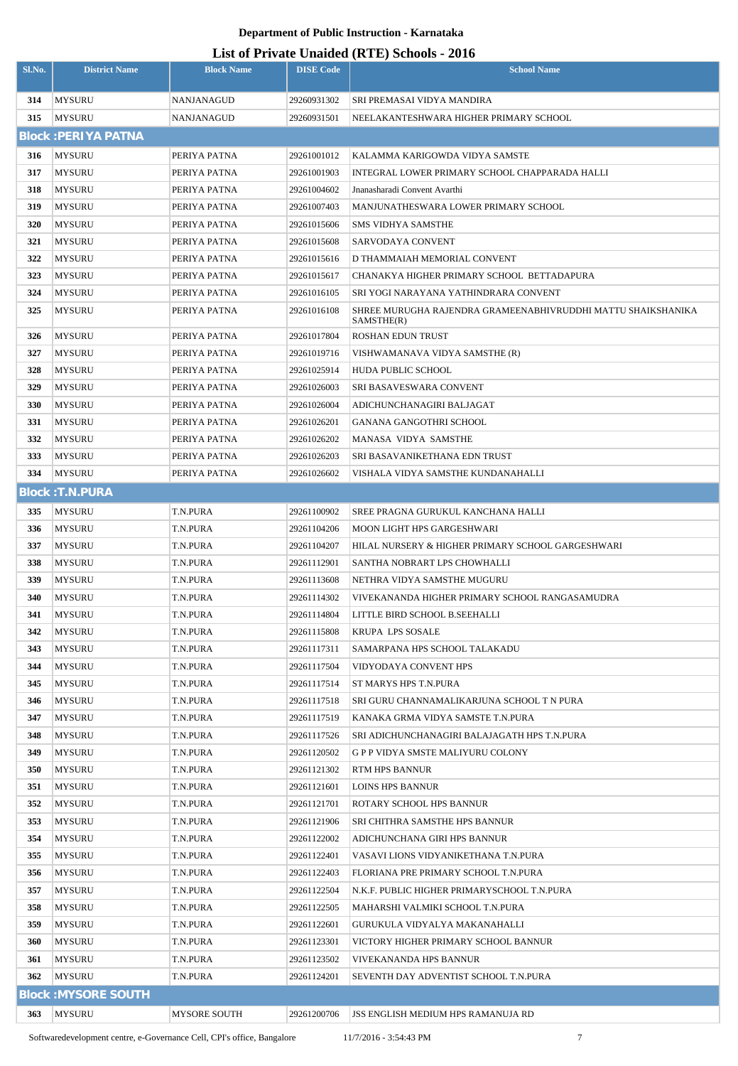| Sl.No.     | <b>District Name</b>           | <b>Block Name</b>    | <b>DISE Code</b>           | Lest of Frivate Unafued (KTL) Schools - 2010<br><b>School Name</b>                |
|------------|--------------------------------|----------------------|----------------------------|-----------------------------------------------------------------------------------|
| 314        | <b>MYSURU</b>                  | NANJANAGUD           | 29260931302                | SRI PREMASAI VIDYA MANDIRA                                                        |
| 315        | <b>MYSURU</b>                  | <b>NANJANAGUD</b>    | 29260931501                | NEELAKANTESHWARA HIGHER PRIMARY SCHOOL                                            |
|            | <b>Block: PERIYA PATNA</b>     |                      |                            |                                                                                   |
| 316        | <b>MYSURU</b>                  | PERIYA PATNA         | 29261001012                | KALAMMA KARIGOWDA VIDYA SAMSTE                                                    |
| 317        | <b>MYSURU</b>                  | PERIYA PATNA         | 29261001903                | INTEGRAL LOWER PRIMARY SCHOOL CHAPPARADA HALLI                                    |
| 318        | <b>MYSURU</b>                  | PERIYA PATNA         | 29261004602                | Jnanasharadi Convent Avarthi                                                      |
| 319        | <b>MYSURU</b>                  | PERIYA PATNA         | 29261007403                | MANJUNATHESWARA LOWER PRIMARY SCHOOL                                              |
| 320        | <b>MYSURU</b>                  | PERIYA PATNA         | 29261015606                | <b>SMS VIDHYA SAMSTHE</b>                                                         |
| 321        | <b>MYSURU</b>                  | PERIYA PATNA         | 29261015608                | SARVODAYA CONVENT                                                                 |
| 322        | <b>MYSURU</b>                  | PERIYA PATNA         | 29261015616                | D THAMMAIAH MEMORIAL CONVENT                                                      |
| 323        | <b>MYSURU</b>                  | PERIYA PATNA         | 29261015617                | CHANAKYA HIGHER PRIMARY SCHOOL BETTADAPURA                                        |
| 324        | <b>MYSURU</b>                  | PERIYA PATNA         | 29261016105                | SRI YOGI NARAYANA YATHINDRARA CONVENT                                             |
| 325        | <b>MYSURU</b>                  | PERIYA PATNA         | 29261016108                | SHREE MURUGHA RAJENDRA GRAMEENABHIVRUDDHI MATTU SHAIKSHANIKA<br>SAMSTHE(R)        |
| 326        | <b>MYSURU</b>                  | PERIYA PATNA         | 29261017804                | <b>ROSHAN EDUN TRUST</b>                                                          |
| 327        | <b>MYSURU</b>                  | PERIYA PATNA         | 29261019716                | VISHWAMANAVA VIDYA SAMSTHE (R)                                                    |
| 328        | <b>MYSURU</b>                  | PERIYA PATNA         | 29261025914                | <b>HUDA PUBLIC SCHOOL</b>                                                         |
| 329        | <b>MYSURU</b>                  | PERIYA PATNA         | 29261026003                | SRI BASAVESWARA CONVENT                                                           |
| 330        | <b>MYSURU</b>                  | PERIYA PATNA         | 29261026004                | ADICHUNCHANAGIRI BALJAGAT                                                         |
| 331        | <b>MYSURU</b>                  | PERIYA PATNA         | 29261026201                | GANANA GANGOTHRI SCHOOL                                                           |
| 332        | <b>MYSURU</b>                  | PERIYA PATNA         | 29261026202                | MANASA VIDYA SAMSTHE                                                              |
| 333        | <b>MYSURU</b>                  | PERIYA PATNA         | 29261026203                | SRI BASAVANIKETHANA EDN TRUST                                                     |
| 334        | <b>MYSURU</b>                  | PERIYA PATNA         | 29261026602                | VISHALA VIDYA SAMSTHE KUNDANAHALLI                                                |
|            | <b>Block: T.N.PURA</b>         |                      |                            |                                                                                   |
| 335        | <b>MYSURU</b>                  | T.N.PURA             | 29261100902                | SREE PRAGNA GURUKUL KANCHANA HALLI                                                |
| 336        | <b>MYSURU</b>                  | T.N.PURA             | 29261104206                | MOON LIGHT HPS GARGESHWARI                                                        |
| 337        | <b>MYSURU</b>                  | T.N.PURA             | 29261104207                | HILAL NURSERY & HIGHER PRIMARY SCHOOL GARGESHWARI                                 |
| 338        | <b>MYSURU</b>                  | T.N.PURA             | 29261112901                | SANTHA NOBRART LPS CHOWHALLI                                                      |
| 339        | <b>MYSURU</b>                  | T.N.PURA             | 29261113608                | NETHRA VIDYA SAMSTHE MUGURU                                                       |
| 340        | <b>MYSURU</b>                  | T.N.PURA             | 29261114302                | VIVEKANANDA HIGHER PRIMARY SCHOOL RANGASAMUDRA                                    |
| 341        | <b>MYSURU</b>                  | T.N.PURA             | 29261114804                | LITTLE BIRD SCHOOL B.SEEHALLI                                                     |
| 342        | <b>MYSURU</b>                  | T.N.PURA             | 29261115808                | KRUPA LPS SOSALE                                                                  |
| 343        | <b>MYSURU</b>                  | T.N.PURA             | 29261117311                | SAMARPANA HPS SCHOOL TALAKADU                                                     |
| 344        | <b>MYSURU</b>                  | T.N.PURA             | 29261117504                | VIDYODAYA CONVENT HPS                                                             |
| 345        | <b>MYSURU</b>                  | T.N.PURA             | 29261117514                | ST MARYS HPS T.N.PURA                                                             |
| 346        | <b>MYSURU</b>                  | T.N.PURA             | 29261117518                | SRI GURU CHANNAMALIKARJUNA SCHOOL T N PURA                                        |
| 347<br>348 | <b>MYSURU</b>                  | T.N.PURA<br>T.N.PURA | 29261117519<br>29261117526 | KANAKA GRMA VIDYA SAMSTE T.N.PURA<br>SRI ADICHUNCHANAGIRI BALAJAGATH HPS T.N.PURA |
| 349        | <b>MYSURU</b><br><b>MYSURU</b> | T.N.PURA             | 29261120502                | <b>GPP VIDYA SMSTE MALIYURU COLONY</b>                                            |
| 350        | <b>MYSURU</b>                  | T.N.PURA             | 29261121302                | RTM HPS BANNUR                                                                    |
| 351        | <b>MYSURU</b>                  | T.N.PURA             | 29261121601                | <b>LOINS HPS BANNUR</b>                                                           |
| 352        | <b>MYSURU</b>                  | T.N.PURA             | 29261121701                | ROTARY SCHOOL HPS BANNUR                                                          |
| 353        | <b>MYSURU</b>                  | T.N.PURA             | 29261121906                | <b>SRI CHITHRA SAMSTHE HPS BANNUR</b>                                             |
| 354        | <b>MYSURU</b>                  | T.N.PURA             | 29261122002                | ADICHUNCHANA GIRI HPS BANNUR                                                      |
| 355        | <b>MYSURU</b>                  | T.N.PURA             | 29261122401                | VASAVI LIONS VIDYANIKETHANA T.N.PURA                                              |
| 356        | <b>MYSURU</b>                  | T.N.PURA             | 29261122403                | FLORIANA PRE PRIMARY SCHOOL T.N.PURA                                              |
| 357        | <b>MYSURU</b>                  | T.N.PURA             | 29261122504                | N.K.F. PUBLIC HIGHER PRIMARYSCHOOL T.N.PURA                                       |
| 358        | <b>MYSURU</b>                  | T.N.PURA             | 29261122505                | MAHARSHI VALMIKI SCHOOL T.N.PURA                                                  |
| 359        | <b>MYSURU</b>                  | T.N.PURA             | 29261122601                | GURUKULA VIDYALYA MAKANAHALLI                                                     |
| 360        | <b>MYSURU</b>                  | T.N.PURA             | 29261123301                | VICTORY HIGHER PRIMARY SCHOOL BANNUR                                              |
| 361        | MYSURU                         | T.N.PURA             | 29261123502                | VIVEKANANDA HPS BANNUR                                                            |
| 362        | <b>MYSURU</b>                  | T.N.PURA             | 29261124201                | SEVENTH DAY ADVENTIST SCHOOL T.N.PURA                                             |
|            | <b>Block: MYSORE SOUTH</b>     |                      |                            |                                                                                   |
| 363        | MYSURU                         | MYSORE SOUTH         | 29261200706                | <b>JSS ENGLISH MEDIUM HPS RAMANUJA RD</b>                                         |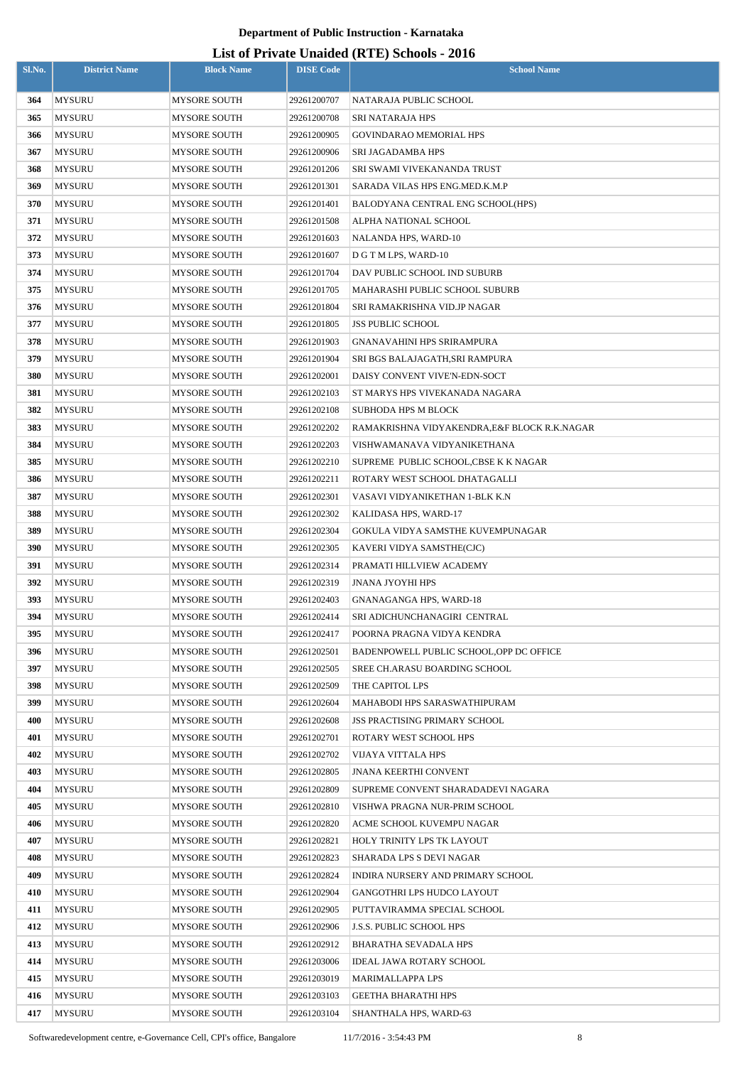| Sl.No.     | <b>District Name</b>           | <b>Block Name</b>                   | <b>DISE Code</b>           | $($ ---- $)$ $\sim$ -- $\sim$<br><b>School Name</b>       |
|------------|--------------------------------|-------------------------------------|----------------------------|-----------------------------------------------------------|
| 364        | <b>MYSURU</b>                  | <b>MYSORE SOUTH</b>                 | 29261200707                | NATARAJA PUBLIC SCHOOL                                    |
| 365        | <b>MYSURU</b>                  | <b>MYSORE SOUTH</b>                 | 29261200708                | <b>SRI NATARAJA HPS</b>                                   |
| 366        | <b>MYSURU</b>                  | MYSORE SOUTH                        | 29261200905                | GOVINDARAO MEMORIAL HPS                                   |
| 367        | <b>MYSURU</b>                  | MYSORE SOUTH                        | 29261200906                | SRI JAGADAMBA HPS                                         |
| 368        | <b>MYSURU</b>                  | MYSORE SOUTH                        | 29261201206                | <b>SRI SWAMI VIVEKANANDA TRUST</b>                        |
| 369        | <b>MYSURU</b>                  | <b>MYSORE SOUTH</b>                 | 29261201301                | SARADA VILAS HPS ENG.MED.K.M.P                            |
| 370        | <b>MYSURU</b>                  | <b>MYSORE SOUTH</b>                 | 29261201401                | BALODYANA CENTRAL ENG SCHOOL(HPS)                         |
| 371        | <b>MYSURU</b>                  | <b>MYSORE SOUTH</b>                 | 29261201508                | ALPHA NATIONAL SCHOOL                                     |
| 372        | <b>MYSURU</b>                  | MYSORE SOUTH                        | 29261201603                | NALANDA HPS, WARD-10                                      |
| 373        | <b>MYSURU</b>                  | MYSORE SOUTH                        | 29261201607                | D G T M LPS, WARD-10                                      |
| 374        | <b>MYSURU</b>                  | MYSORE SOUTH                        | 29261201704                | DAV PUBLIC SCHOOL IND SUBURB                              |
| 375        | <b>MYSURU</b>                  | MYSORE SOUTH                        | 29261201705                | MAHARASHI PUBLIC SCHOOL SUBURB                            |
| 376        | MYSURU                         | <b>MYSORE SOUTH</b>                 | 29261201804                | SRI RAMAKRISHNA VID.JP NAGAR                              |
| 377        | <b>MYSURU</b>                  | MYSORE SOUTH                        | 29261201805                | <b>JSS PUBLIC SCHOOL</b>                                  |
| 378        | MYSURU                         | <b>MYSORE SOUTH</b>                 | 29261201903                | GNANAVAHINI HPS SRIRAMPURA                                |
| 379        | MYSURU                         | <b>MYSORE SOUTH</b>                 | 29261201904                | SRI BGS BALAJAGATH,SRI RAMPURA                            |
| 380        | <b>MYSURU</b>                  | <b>MYSORE SOUTH</b>                 | 29261202001                | DAISY CONVENT VIVE'N-EDN-SOCT                             |
| 381        | <b>MYSURU</b>                  | MYSORE SOUTH                        | 29261202103                | ST MARYS HPS VIVEKANADA NAGARA                            |
| 382        | <b>MYSURU</b>                  | MYSORE SOUTH                        | 29261202108                | <b>SUBHODA HPS M BLOCK</b>                                |
| 383        | <b>MYSURU</b>                  | MYSORE SOUTH                        | 29261202202                | RAMAKRISHNA VIDYAKENDRA,E&F BLOCK R.K.NAGAR               |
| 384        | <b>MYSURU</b>                  | MYSORE SOUTH                        | 29261202203                | VISHWAMANAVA VIDYANIKETHANA                               |
| 385        | <b>MYSURU</b>                  | MYSORE SOUTH                        | 29261202210                | SUPREME PUBLIC SCHOOL, CBSE K K NAGAR                     |
| 386        | <b>MYSURU</b>                  | MYSORE SOUTH                        | 29261202211                | ROTARY WEST SCHOOL DHATAGALLI                             |
| 387        | <b>MYSURU</b>                  | MYSORE SOUTH                        | 29261202301                | VASAVI VIDYANIKETHAN 1-BLK K.N                            |
| 388        | <b>MYSURU</b>                  | MYSORE SOUTH                        | 29261202302                | KALIDASA HPS, WARD-17                                     |
| 389        | <b>MYSURU</b>                  | MYSORE SOUTH                        | 29261202304                | GOKULA VIDYA SAMSTHE KUVEMPUNAGAR                         |
| 390        | <b>MYSURU</b>                  | <b>MYSORE SOUTH</b>                 | 29261202305                | KAVERI VIDYA SAMSTHE(CJC)                                 |
| 391        | <b>MYSURU</b>                  | <b>MYSORE SOUTH</b>                 | 29261202314                | PRAMATI HILLVIEW ACADEMY                                  |
| 392        | <b>MYSURU</b><br><b>MYSURU</b> | <b>MYSORE SOUTH</b>                 | 29261202319                | <b>JNANA JYOYHI HPS</b><br><b>GNANAGANGA HPS, WARD-18</b> |
| 393<br>394 | <b>MYSURU</b>                  | MYSORE SOUTH<br><b>MYSORE SOUTH</b> | 29261202403<br>29261202414 | SRI ADICHUNCHANAGIRI CENTRAL                              |
| 395        | <b>MYSURU</b>                  | MYSORE SOUTH                        | 29261202417                | POORNA PRAGNA VIDYA KENDRA                                |
| 396        | <b>MYSURU</b>                  | <b>MYSORE SOUTH</b>                 | 29261202501                | BADENPOWELL PUBLIC SCHOOL, OPP DC OFFICE                  |
| 397        | MYSURU                         | MYSORE SOUTH                        | 29261202505                | <b>SREE CH.ARASU BOARDING SCHOOL</b>                      |
| 398        | <b>MYSURU</b>                  | <b>MYSORE SOUTH</b>                 | 29261202509                | THE CAPITOL LPS                                           |
| 399        | MYSURU                         | <b>MYSORE SOUTH</b>                 | 29261202604                | MAHABODI HPS SARASWATHIPURAM                              |
| 400        | <b>MYSURU</b>                  | <b>MYSORE SOUTH</b>                 | 29261202608                | <b>JSS PRACTISING PRIMARY SCHOOL</b>                      |
| 401        | MYSURU                         | <b>MYSORE SOUTH</b>                 | 29261202701                | ROTARY WEST SCHOOL HPS                                    |
| 402        | <b>MYSURU</b>                  | <b>MYSORE SOUTH</b>                 | 29261202702                | VIJAYA VITTALA HPS                                        |
| 403        | <b>MYSURU</b>                  | MYSORE SOUTH                        | 29261202805                | <b>JNANA KEERTHI CONVENT</b>                              |
| 404        | <b>MYSURU</b>                  | <b>MYSORE SOUTH</b>                 | 29261202809                | SUPREME CONVENT SHARADADEVI NAGARA                        |
| 405        | <b>MYSURU</b>                  | <b>MYSORE SOUTH</b>                 | 29261202810                | VISHWA PRAGNA NUR-PRIM SCHOOL                             |
| 406        | <b>MYSURU</b>                  | MYSORE SOUTH                        | 29261202820                | ACME SCHOOL KUVEMPU NAGAR                                 |
| 407        | <b>MYSURU</b>                  | MYSORE SOUTH                        | 29261202821                | HOLY TRINITY LPS TK LAYOUT                                |
| 408        | <b>MYSURU</b>                  | MYSORE SOUTH                        | 29261202823                | SHARADA LPS S DEVI NAGAR                                  |
| 409        | <b>MYSURU</b>                  | MYSORE SOUTH                        | 29261202824                | INDIRA NURSERY AND PRIMARY SCHOOL                         |
| 410        | <b>MYSURU</b>                  | MYSORE SOUTH                        | 29261202904                | <b>GANGOTHRI LPS HUDCO LAYOUT</b>                         |
| 411        | <b>MYSURU</b>                  | MYSORE SOUTH                        | 29261202905                | PUTTAVIRAMMA SPECIAL SCHOOL                               |
| 412        | <b>MYSURU</b>                  | <b>MYSORE SOUTH</b>                 | 29261202906                | <b>J.S.S. PUBLIC SCHOOL HPS</b>                           |
| 413        | <b>MYSURU</b>                  | <b>MYSORE SOUTH</b>                 | 29261202912                | <b>BHARATHA SEVADALA HPS</b>                              |
| 414        | MYSURU                         | <b>MYSORE SOUTH</b>                 | 29261203006                | IDEAL JAWA ROTARY SCHOOL                                  |
| 415        | <b>MYSURU</b>                  | <b>MYSORE SOUTH</b>                 | 29261203019                | <b>MARIMALLAPPA LPS</b>                                   |
| 416        | <b>MYSURU</b>                  | <b>MYSORE SOUTH</b>                 | 29261203103                | <b>GEETHA BHARATHI HPS</b>                                |
| 417        | MYSURU                         | <b>MYSORE SOUTH</b>                 | 29261203104                | SHANTHALA HPS, WARD-63                                    |